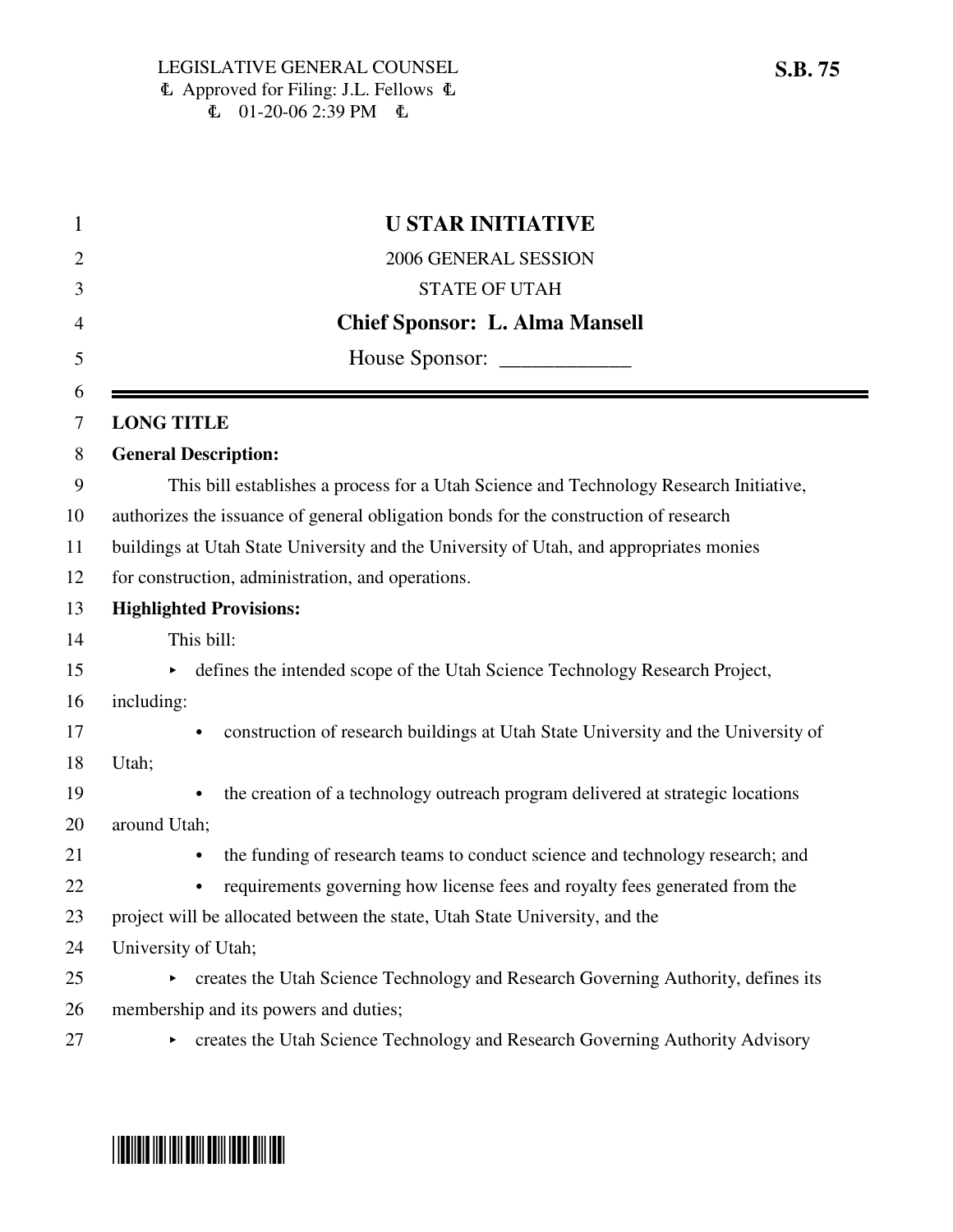|                                                                                        | <b>U STAR INITIATIVE</b>                                                                    |  |  |
|----------------------------------------------------------------------------------------|---------------------------------------------------------------------------------------------|--|--|
|                                                                                        | 2006 GENERAL SESSION                                                                        |  |  |
|                                                                                        | <b>STATE OF UTAH</b>                                                                        |  |  |
|                                                                                        | <b>Chief Sponsor: L. Alma Mansell</b>                                                       |  |  |
|                                                                                        |                                                                                             |  |  |
|                                                                                        | <b>LONG TITLE</b>                                                                           |  |  |
|                                                                                        | <b>General Description:</b>                                                                 |  |  |
|                                                                                        | This bill establishes a process for a Utah Science and Technology Research Initiative,      |  |  |
| authorizes the issuance of general obligation bonds for the construction of research   |                                                                                             |  |  |
| buildings at Utah State University and the University of Utah, and appropriates monies |                                                                                             |  |  |
| for construction, administration, and operations.                                      |                                                                                             |  |  |
|                                                                                        | <b>Highlighted Provisions:</b>                                                              |  |  |
|                                                                                        | This bill:                                                                                  |  |  |
|                                                                                        | defines the intended scope of the Utah Science Technology Research Project,<br>Þ.           |  |  |
|                                                                                        | including:                                                                                  |  |  |
|                                                                                        | construction of research buildings at Utah State University and the University of           |  |  |
|                                                                                        | Utah;                                                                                       |  |  |
|                                                                                        | the creation of a technology outreach program delivered at strategic locations<br>$\bullet$ |  |  |
|                                                                                        | around Utah;                                                                                |  |  |
|                                                                                        | the funding of research teams to conduct science and technology research; and<br>$\bullet$  |  |  |
|                                                                                        | requirements governing how license fees and royalty fees generated from the<br>$\bullet$    |  |  |
|                                                                                        | project will be allocated between the state, Utah State University, and the                 |  |  |
|                                                                                        | University of Utah;                                                                         |  |  |
|                                                                                        | creates the Utah Science Technology and Research Governing Authority, defines its           |  |  |
|                                                                                        | membership and its powers and duties;                                                       |  |  |
|                                                                                        | creates the Utah Science Technology and Research Governing Authority Advisory               |  |  |

# \*SB0075\*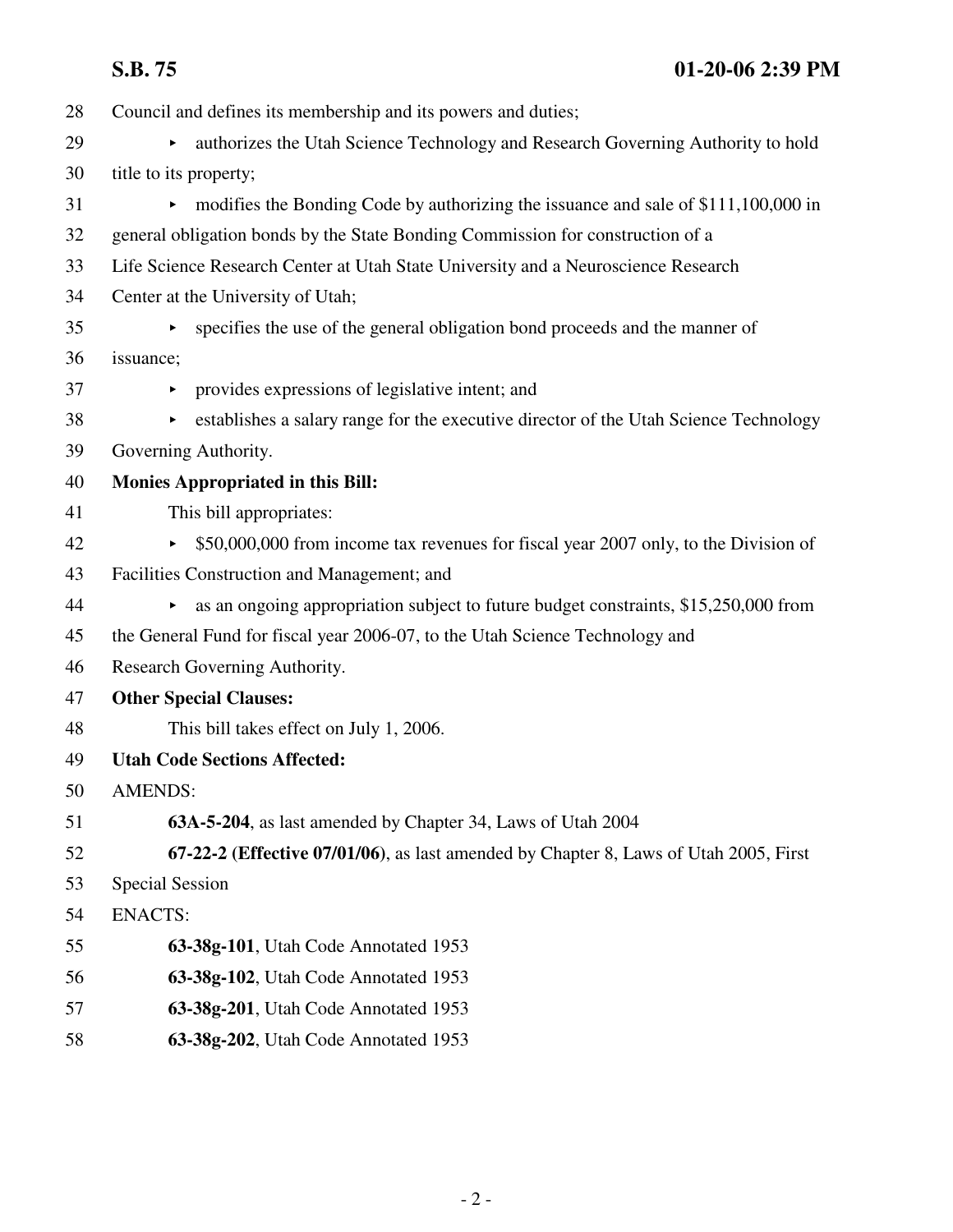**S.B. 75 01-20-06 2:39 PM**

| 28 | Council and defines its membership and its powers and duties;                             |  |  |  |  |
|----|-------------------------------------------------------------------------------------------|--|--|--|--|
| 29 | authorizes the Utah Science Technology and Research Governing Authority to hold<br>Þ.     |  |  |  |  |
| 30 | title to its property;                                                                    |  |  |  |  |
| 31 | modifies the Bonding Code by authorizing the issuance and sale of \$111,100,000 in        |  |  |  |  |
| 32 | general obligation bonds by the State Bonding Commission for construction of a            |  |  |  |  |
| 33 | Life Science Research Center at Utah State University and a Neuroscience Research         |  |  |  |  |
| 34 | Center at the University of Utah;                                                         |  |  |  |  |
| 35 | specifies the use of the general obligation bond proceeds and the manner of               |  |  |  |  |
| 36 | issuance;                                                                                 |  |  |  |  |
| 37 | provides expressions of legislative intent; and<br>Þ.                                     |  |  |  |  |
| 38 | establishes a salary range for the executive director of the Utah Science Technology<br>► |  |  |  |  |
| 39 | Governing Authority.                                                                      |  |  |  |  |
| 40 | <b>Monies Appropriated in this Bill:</b>                                                  |  |  |  |  |
| 41 | This bill appropriates:                                                                   |  |  |  |  |
| 42 | \$50,000,000 from income tax revenues for fiscal year 2007 only, to the Division of       |  |  |  |  |
| 43 | Facilities Construction and Management; and                                               |  |  |  |  |
| 44 | as an ongoing appropriation subject to future budget constraints, \$15,250,000 from       |  |  |  |  |
| 45 | the General Fund for fiscal year 2006-07, to the Utah Science Technology and              |  |  |  |  |
| 46 | Research Governing Authority.                                                             |  |  |  |  |
| 47 | <b>Other Special Clauses:</b>                                                             |  |  |  |  |
| 48 | This bill takes effect on July 1, 2006.                                                   |  |  |  |  |
| 49 | <b>Utah Code Sections Affected:</b>                                                       |  |  |  |  |
| 50 | <b>AMENDS:</b>                                                                            |  |  |  |  |
| 51 | 63A-5-204, as last amended by Chapter 34, Laws of Utah 2004                               |  |  |  |  |
| 52 | 67-22-2 (Effective 07/01/06), as last amended by Chapter 8, Laws of Utah 2005, First      |  |  |  |  |
| 53 | <b>Special Session</b>                                                                    |  |  |  |  |
| 54 | <b>ENACTS:</b>                                                                            |  |  |  |  |
| 55 | 63-38g-101, Utah Code Annotated 1953                                                      |  |  |  |  |
| 56 | 63-38g-102, Utah Code Annotated 1953                                                      |  |  |  |  |
| 57 | 63-38g-201, Utah Code Annotated 1953                                                      |  |  |  |  |
| 58 | 63-38g-202, Utah Code Annotated 1953                                                      |  |  |  |  |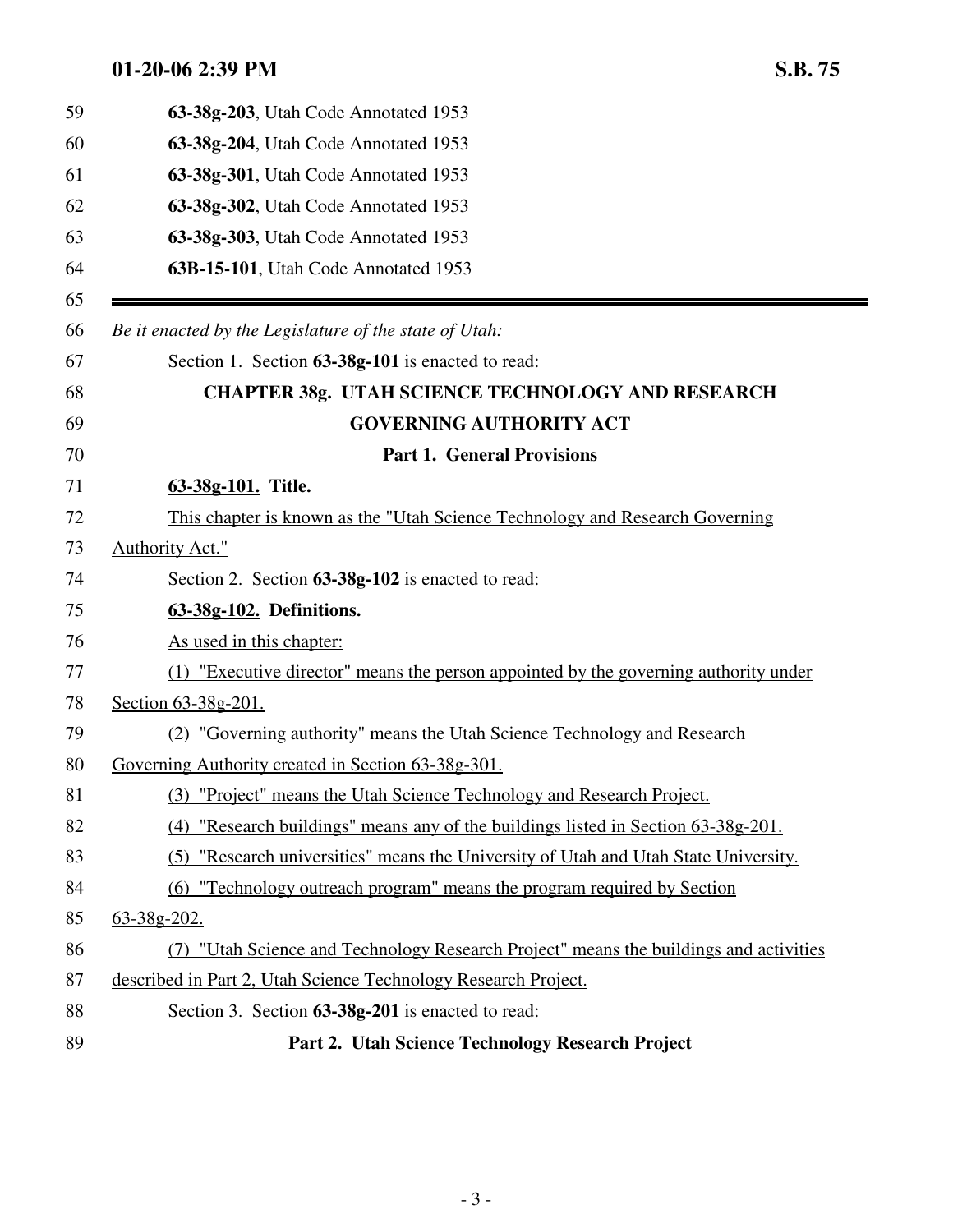|    | 63-38g-203, Utah Code Annotated 1953                                                  |
|----|---------------------------------------------------------------------------------------|
|    | 63-38g-204, Utah Code Annotated 1953                                                  |
|    | 63-38g-301, Utah Code Annotated 1953                                                  |
|    | 63-38g-302, Utah Code Annotated 1953                                                  |
|    | 63-38g-303, Utah Code Annotated 1953                                                  |
|    | 63B-15-101, Utah Code Annotated 1953                                                  |
|    | Be it enacted by the Legislature of the state of Utah:                                |
|    | Section 1. Section 63-38g-101 is enacted to read:                                     |
|    | <b>CHAPTER 38g. UTAH SCIENCE TECHNOLOGY AND RESEARCH</b>                              |
|    | <b>GOVERNING AUTHORITY ACT</b>                                                        |
|    | <b>Part 1. General Provisions</b>                                                     |
|    | 63-38g-101. Title.                                                                    |
|    | This chapter is known as the "Utah Science Technology and Research Governing"         |
|    | Authority Act."                                                                       |
|    | Section 2. Section 63-38g-102 is enacted to read:                                     |
|    | 63-38g-102. Definitions.                                                              |
|    | As used in this chapter:                                                              |
|    | (1) "Executive director" means the person appointed by the governing authority under  |
|    | Section 63-38g-201.                                                                   |
|    | (2) "Governing authority" means the Utah Science Technology and Research              |
|    | Governing Authority created in Section 63-38g-301.                                    |
|    | (3) "Project" means the Utah Science Technology and Research Project.                 |
|    | (4) "Research buildings" means any of the buildings listed in Section 63-38g-201.     |
|    | (5) "Research universities" means the University of Utah and Utah State University.   |
|    | "Technology outreach program" means the program required by Section<br>(6)            |
|    | 63-38g-202.                                                                           |
|    | (7) "Utah Science and Technology Research Project" means the buildings and activities |
|    | described in Part 2, Utah Science Technology Research Project.                        |
|    | Section 3. Section 63-38g-201 is enacted to read:                                     |
| 89 | Part 2. Utah Science Technology Research Project                                      |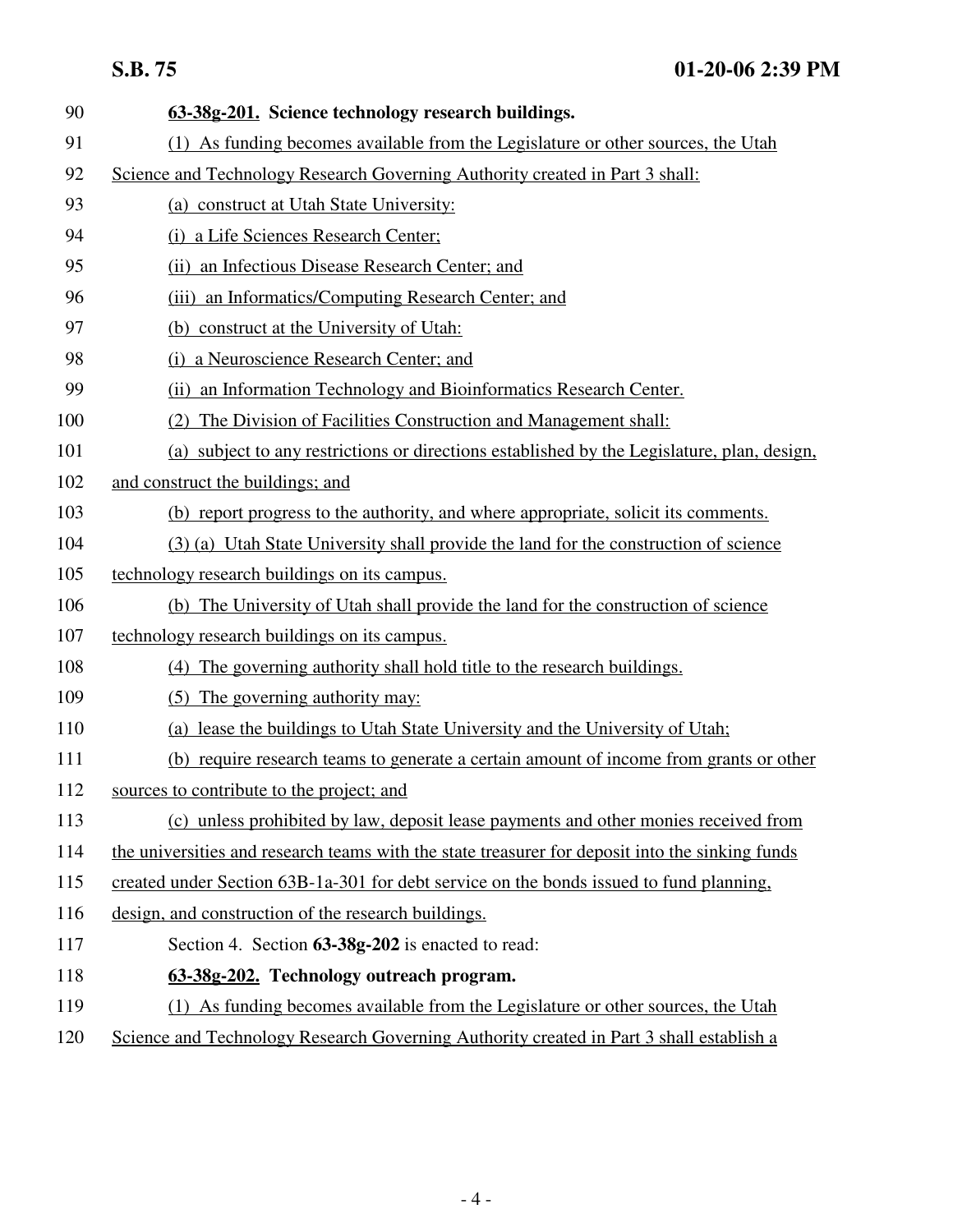| 90  | 63-38g-201. Science technology research buildings.                                              |  |  |  |
|-----|-------------------------------------------------------------------------------------------------|--|--|--|
| 91  | (1) As funding becomes available from the Legislature or other sources, the Utah                |  |  |  |
| 92  | Science and Technology Research Governing Authority created in Part 3 shall:                    |  |  |  |
| 93  | (a) construct at Utah State University:                                                         |  |  |  |
| 94  | (i) a Life Sciences Research Center;                                                            |  |  |  |
| 95  | (ii) an Infectious Disease Research Center; and                                                 |  |  |  |
| 96  | (iii) an Informatics/Computing Research Center; and                                             |  |  |  |
| 97  | (b) construct at the University of Utah:                                                        |  |  |  |
| 98  | (i) a Neuroscience Research Center; and                                                         |  |  |  |
| 99  | (ii) an Information Technology and Bioinformatics Research Center.                              |  |  |  |
| 100 | The Division of Facilities Construction and Management shall:<br>(2)                            |  |  |  |
| 101 | (a) subject to any restrictions or directions established by the Legislature, plan, design,     |  |  |  |
| 102 | and construct the buildings; and                                                                |  |  |  |
| 103 | (b) report progress to the authority, and where appropriate, solicit its comments.              |  |  |  |
| 104 | (3) (a) Utah State University shall provide the land for the construction of science            |  |  |  |
| 105 | technology research buildings on its campus.                                                    |  |  |  |
| 106 | (b) The University of Utah shall provide the land for the construction of science               |  |  |  |
| 107 | technology research buildings on its campus.                                                    |  |  |  |
| 108 | (4) The governing authority shall hold title to the research buildings.                         |  |  |  |
| 109 | (5) The governing authority may:                                                                |  |  |  |
| 110 | (a) lease the buildings to Utah State University and the University of Utah;                    |  |  |  |
| 111 | (b) require research teams to generate a certain amount of income from grants or other          |  |  |  |
| 112 | sources to contribute to the project; and                                                       |  |  |  |
| 113 | (c) unless prohibited by law, deposit lease payments and other monies received from             |  |  |  |
| 114 | the universities and research teams with the state treasurer for deposit into the sinking funds |  |  |  |
| 115 | created under Section 63B-1a-301 for debt service on the bonds issued to fund planning,         |  |  |  |
| 116 | design, and construction of the research buildings.                                             |  |  |  |
| 117 | Section 4. Section 63-38g-202 is enacted to read:                                               |  |  |  |
| 118 | 63-38g-202. Technology outreach program.                                                        |  |  |  |
| 119 | (1) As funding becomes available from the Legislature or other sources, the Utah                |  |  |  |
| 120 | Science and Technology Research Governing Authority created in Part 3 shall establish a         |  |  |  |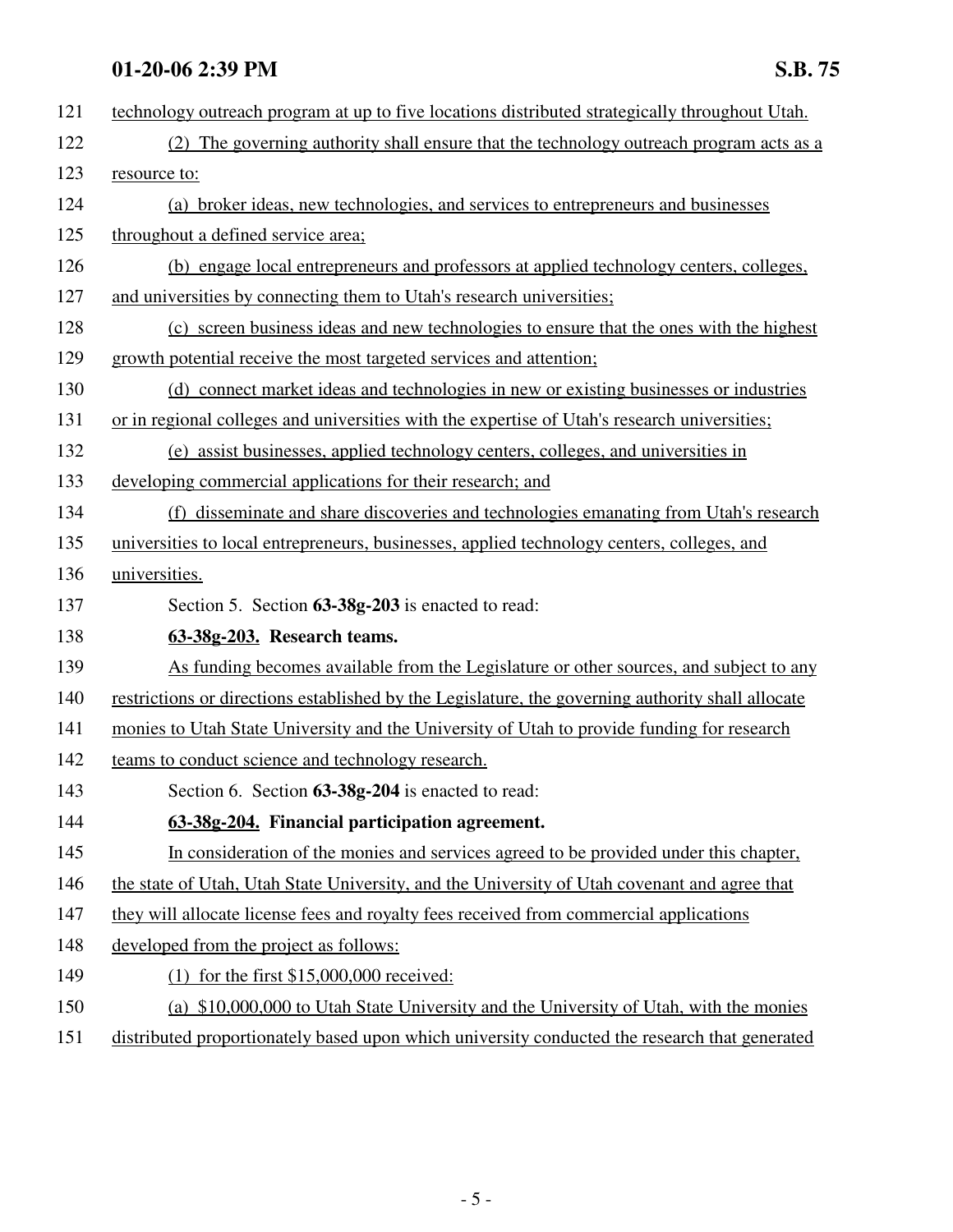| 121 | technology outreach program at up to five locations distributed strategically throughout Utah.    |  |  |  |
|-----|---------------------------------------------------------------------------------------------------|--|--|--|
| 122 | (2) The governing authority shall ensure that the technology outreach program acts as a           |  |  |  |
| 123 | resource to:                                                                                      |  |  |  |
| 124 | (a) broker ideas, new technologies, and services to entrepreneurs and businesses                  |  |  |  |
| 125 | throughout a defined service area;                                                                |  |  |  |
| 126 | (b) engage local entrepreneurs and professors at applied technology centers, colleges,            |  |  |  |
| 127 | and universities by connecting them to Utah's research universities;                              |  |  |  |
| 128 | (c) screen business ideas and new technologies to ensure that the ones with the highest           |  |  |  |
| 129 | growth potential receive the most targeted services and attention;                                |  |  |  |
| 130 | (d) connect market ideas and technologies in new or existing businesses or industries             |  |  |  |
| 131 | or in regional colleges and universities with the expertise of Utah's research universities;      |  |  |  |
| 132 | (e) assist businesses, applied technology centers, colleges, and universities in                  |  |  |  |
| 133 | developing commercial applications for their research; and                                        |  |  |  |
| 134 | (f) disseminate and share discoveries and technologies emanating from Utah's research             |  |  |  |
| 135 | universities to local entrepreneurs, businesses, applied technology centers, colleges, and        |  |  |  |
| 136 | universities.                                                                                     |  |  |  |
| 137 | Section 5. Section 63-38g-203 is enacted to read:                                                 |  |  |  |
| 138 | 63-38g-203. Research teams.                                                                       |  |  |  |
| 139 | As funding becomes available from the Legislature or other sources, and subject to any            |  |  |  |
| 140 | restrictions or directions established by the Legislature, the governing authority shall allocate |  |  |  |
| 141 | monies to Utah State University and the University of Utah to provide funding for research        |  |  |  |
| 142 | teams to conduct science and technology research.                                                 |  |  |  |
| 143 | Section 6. Section 63-38g-204 is enacted to read:                                                 |  |  |  |
| 144 | 63-38g-204. Financial participation agreement.                                                    |  |  |  |
| 145 | In consideration of the monies and services agreed to be provided under this chapter.             |  |  |  |
| 146 | the state of Utah, Utah State University, and the University of Utah covenant and agree that      |  |  |  |
| 147 | they will allocate license fees and royalty fees received from commercial applications            |  |  |  |
| 148 | developed from the project as follows:                                                            |  |  |  |
| 149 | $(1)$ for the first \$15,000,000 received:                                                        |  |  |  |
| 150 | (a) \$10,000,000 to Utah State University and the University of Utah, with the monies             |  |  |  |
| 151 | distributed proportionately based upon which university conducted the research that generated     |  |  |  |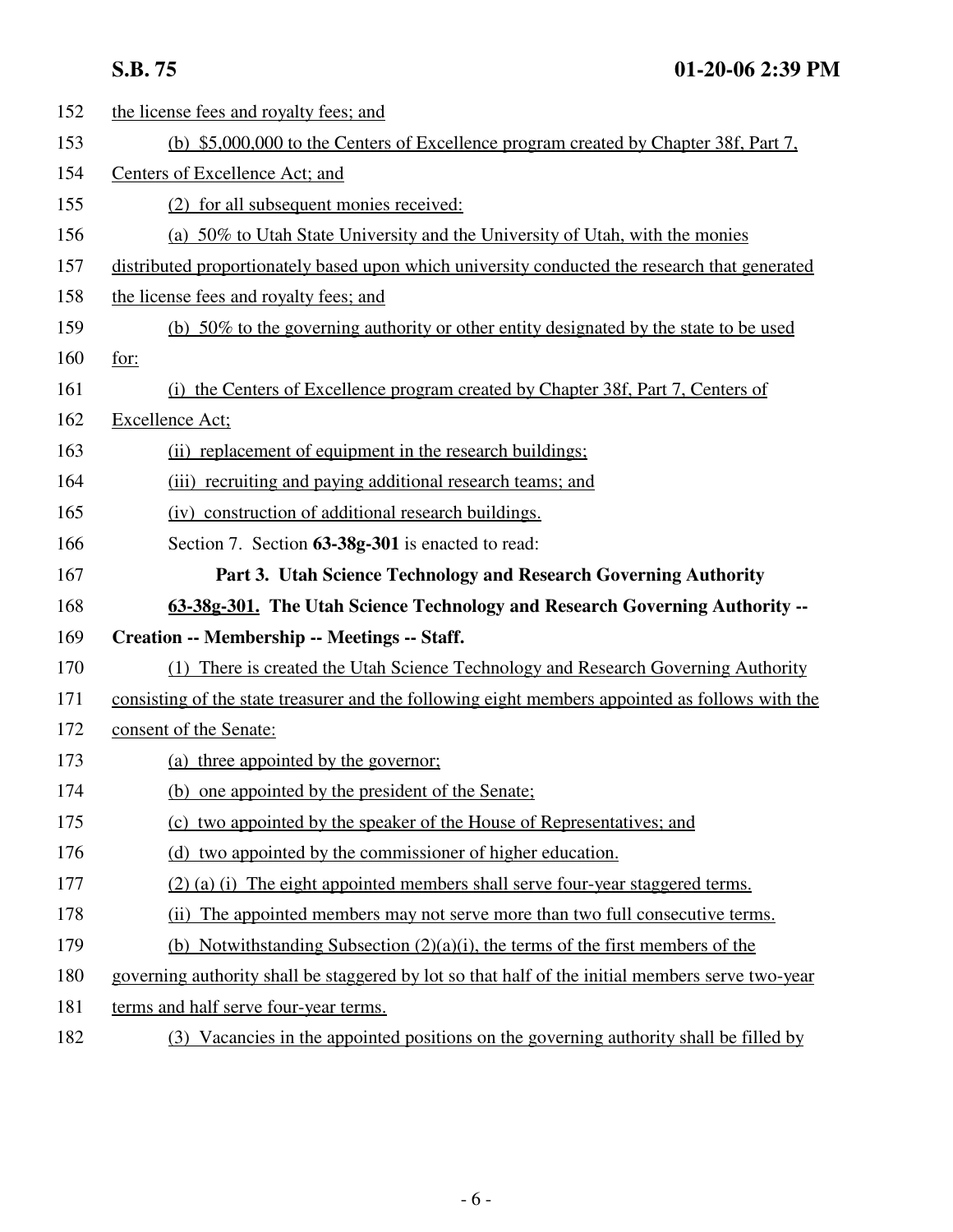| 152 | the license fees and royalty fees; and                                                           |  |  |  |
|-----|--------------------------------------------------------------------------------------------------|--|--|--|
| 153 | (b) \$5,000,000 to the Centers of Excellence program created by Chapter 38f, Part 7,             |  |  |  |
| 154 | Centers of Excellence Act; and                                                                   |  |  |  |
| 155 | (2) for all subsequent monies received:                                                          |  |  |  |
| 156 | (a) 50% to Utah State University and the University of Utah, with the monies                     |  |  |  |
| 157 | distributed proportionately based upon which university conducted the research that generated    |  |  |  |
| 158 | the license fees and royalty fees; and                                                           |  |  |  |
| 159 | (b) 50% to the governing authority or other entity designated by the state to be used            |  |  |  |
| 160 | for:                                                                                             |  |  |  |
| 161 | (i) the Centers of Excellence program created by Chapter 38f, Part 7, Centers of                 |  |  |  |
| 162 | Excellence Act;                                                                                  |  |  |  |
| 163 | (ii) replacement of equipment in the research buildings;                                         |  |  |  |
| 164 | (iii) recruiting and paying additional research teams; and                                       |  |  |  |
| 165 | (iv) construction of additional research buildings.                                              |  |  |  |
| 166 | Section 7. Section 63-38g-301 is enacted to read:                                                |  |  |  |
| 167 | Part 3. Utah Science Technology and Research Governing Authority                                 |  |  |  |
| 168 | 63-38g-301. The Utah Science Technology and Research Governing Authority --                      |  |  |  |
| 169 | Creation -- Membership -- Meetings -- Staff.                                                     |  |  |  |
| 170 | (1) There is created the Utah Science Technology and Research Governing Authority                |  |  |  |
| 171 | consisting of the state treasurer and the following eight members appointed as follows with the  |  |  |  |
| 172 | consent of the Senate:                                                                           |  |  |  |
| 173 | (a) three appointed by the governor;                                                             |  |  |  |
| 174 | (b) one appointed by the president of the Senate;                                                |  |  |  |
| 175 | (c) two appointed by the speaker of the House of Representatives; and                            |  |  |  |
| 176 | (d) two appointed by the commissioner of higher education.                                       |  |  |  |
| 177 | (2) (a) (i) The eight appointed members shall serve four-year staggered terms.                   |  |  |  |
| 178 | (ii) The appointed members may not serve more than two full consecutive terms.                   |  |  |  |
| 179 | (b) Notwithstanding Subsection $(2)(a)(i)$ , the terms of the first members of the               |  |  |  |
| 180 | governing authority shall be staggered by lot so that half of the initial members serve two-year |  |  |  |
| 181 | terms and half serve four-year terms.                                                            |  |  |  |
| 182 | (3) Vacancies in the appointed positions on the governing authority shall be filled by           |  |  |  |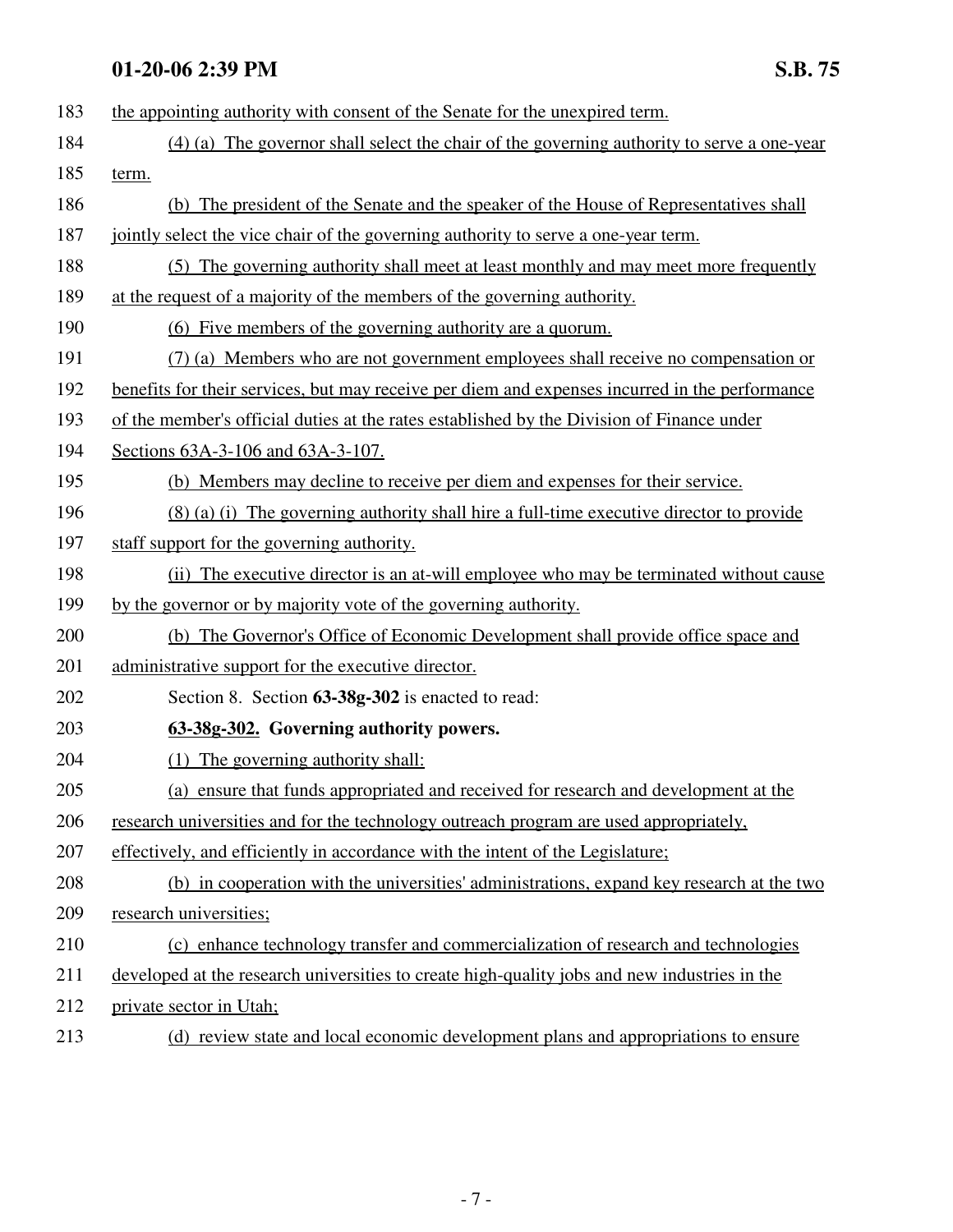| 183 | the appointing authority with consent of the Senate for the unexpired term.                    |  |  |  |
|-----|------------------------------------------------------------------------------------------------|--|--|--|
| 184 | (4) (a) The governor shall select the chair of the governing authority to serve a one-year     |  |  |  |
| 185 | term.                                                                                          |  |  |  |
| 186 | (b) The president of the Senate and the speaker of the House of Representatives shall          |  |  |  |
| 187 | jointly select the vice chair of the governing authority to serve a one-year term.             |  |  |  |
| 188 | (5) The governing authority shall meet at least monthly and may meet more frequently           |  |  |  |
| 189 | at the request of a majority of the members of the governing authority.                        |  |  |  |
| 190 | (6) Five members of the governing authority are a quorum.                                      |  |  |  |
| 191 | (7) (a) Members who are not government employees shall receive no compensation or              |  |  |  |
| 192 | benefits for their services, but may receive per diem and expenses incurred in the performance |  |  |  |
| 193 | of the member's official duties at the rates established by the Division of Finance under      |  |  |  |
| 194 | Sections 63A-3-106 and 63A-3-107.                                                              |  |  |  |
| 195 | (b) Members may decline to receive per diem and expenses for their service.                    |  |  |  |
| 196 | (8) (a) (i) The governing authority shall hire a full-time executive director to provide       |  |  |  |
| 197 | staff support for the governing authority.                                                     |  |  |  |
| 198 | (ii) The executive director is an at-will employee who may be terminated without cause         |  |  |  |
| 199 | by the governor or by majority vote of the governing authority.                                |  |  |  |
| 200 | (b) The Governor's Office of Economic Development shall provide office space and               |  |  |  |
| 201 | administrative support for the executive director.                                             |  |  |  |
| 202 | Section 8. Section 63-38g-302 is enacted to read:                                              |  |  |  |
| 203 | 63-38g-302. Governing authority powers.                                                        |  |  |  |
| 204 | (1) The governing authority shall:                                                             |  |  |  |
| 205 | (a) ensure that funds appropriated and received for research and development at the            |  |  |  |
| 206 | research universities and for the technology outreach program are used appropriately,          |  |  |  |
| 207 | effectively, and efficiently in accordance with the intent of the Legislature;                 |  |  |  |
| 208 | (b) in cooperation with the universities' administrations, expand key research at the two      |  |  |  |
| 209 | research universities;                                                                         |  |  |  |
| 210 | (c) enhance technology transfer and commercialization of research and technologies             |  |  |  |
| 211 | developed at the research universities to create high-quality jobs and new industries in the   |  |  |  |
| 212 | private sector in Utah;                                                                        |  |  |  |
| 213 | (d) review state and local economic development plans and appropriations to ensure             |  |  |  |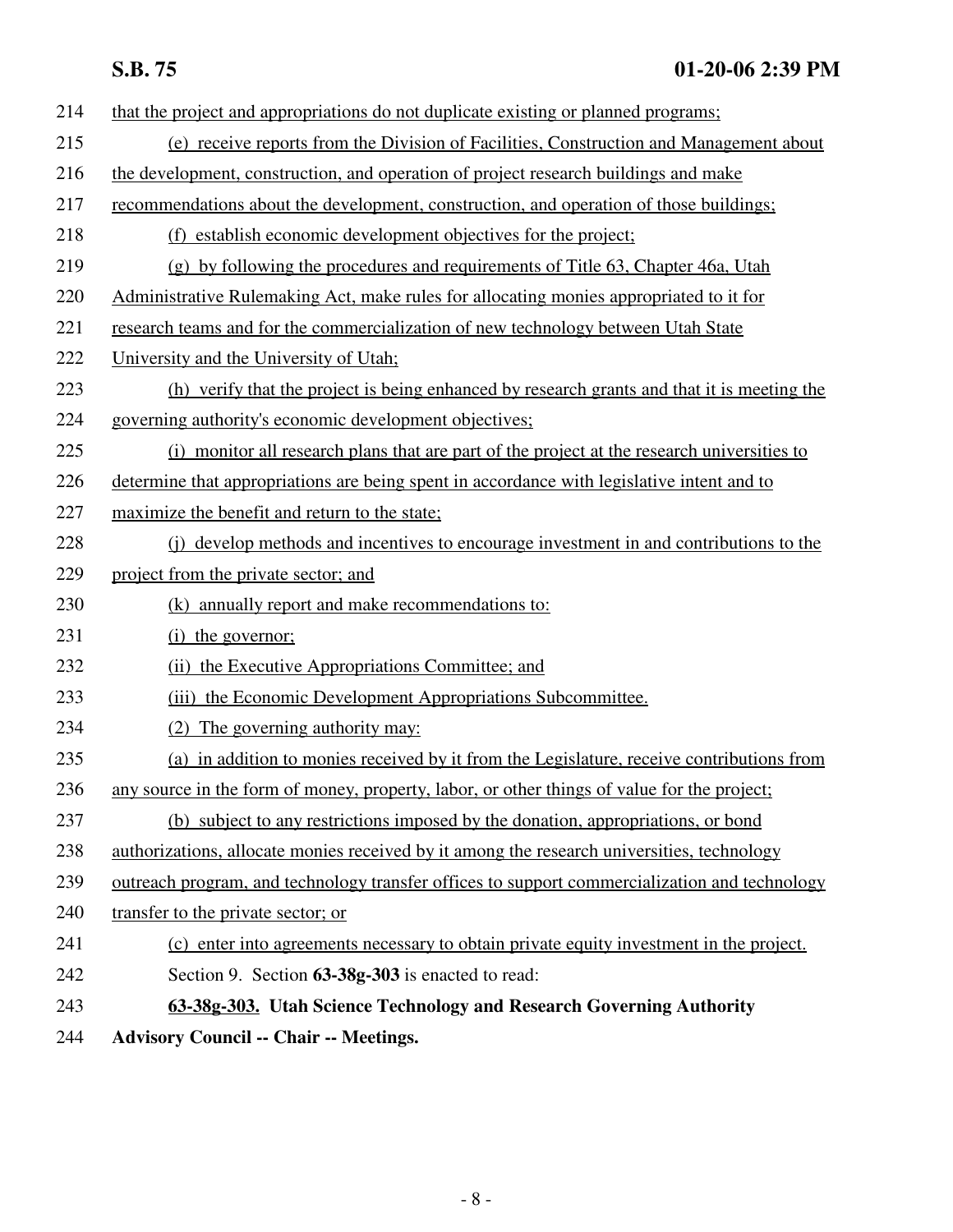| 214 | that the project and appropriations do not duplicate existing or planned programs;            |  |  |  |
|-----|-----------------------------------------------------------------------------------------------|--|--|--|
| 215 | (e) receive reports from the Division of Facilities, Construction and Management about        |  |  |  |
| 216 | the development, construction, and operation of project research buildings and make           |  |  |  |
| 217 | recommendations about the development, construction, and operation of those buildings;        |  |  |  |
| 218 | (f) establish economic development objectives for the project;                                |  |  |  |
| 219 | (g) by following the procedures and requirements of Title 63, Chapter 46a, Utah               |  |  |  |
| 220 | Administrative Rulemaking Act, make rules for allocating monies appropriated to it for        |  |  |  |
| 221 | research teams and for the commercialization of new technology between Utah State             |  |  |  |
| 222 | University and the University of Utah;                                                        |  |  |  |
| 223 | (h) verify that the project is being enhanced by research grants and that it is meeting the   |  |  |  |
| 224 | governing authority's economic development objectives;                                        |  |  |  |
| 225 | (i) monitor all research plans that are part of the project at the research universities to   |  |  |  |
| 226 | determine that appropriations are being spent in accordance with legislative intent and to    |  |  |  |
| 227 | maximize the benefit and return to the state;                                                 |  |  |  |
| 228 | (i) develop methods and incentives to encourage investment in and contributions to the        |  |  |  |
| 229 | project from the private sector; and                                                          |  |  |  |
| 230 | (k) annually report and make recommendations to:                                              |  |  |  |
| 231 | (i) the governor;                                                                             |  |  |  |
| 232 | (ii) the Executive Appropriations Committee; and                                              |  |  |  |
| 233 | (iii) the Economic Development Appropriations Subcommittee.                                   |  |  |  |
| 234 | (2) The governing authority may:                                                              |  |  |  |
| 235 | (a) in addition to monies received by it from the Legislature, receive contributions from     |  |  |  |
| 236 | any source in the form of money, property, labor, or other things of value for the project;   |  |  |  |
| 237 | (b) subject to any restrictions imposed by the donation, appropriations, or bond              |  |  |  |
| 238 | authorizations, allocate monies received by it among the research universities, technology    |  |  |  |
| 239 | outreach program, and technology transfer offices to support commercialization and technology |  |  |  |
| 240 | transfer to the private sector; or                                                            |  |  |  |
| 241 | (c) enter into agreements necessary to obtain private equity investment in the project.       |  |  |  |
| 242 | Section 9. Section 63-38g-303 is enacted to read:                                             |  |  |  |
| 243 | 63-38g-303. Utah Science Technology and Research Governing Authority                          |  |  |  |
| 244 | <b>Advisory Council -- Chair -- Meetings.</b>                                                 |  |  |  |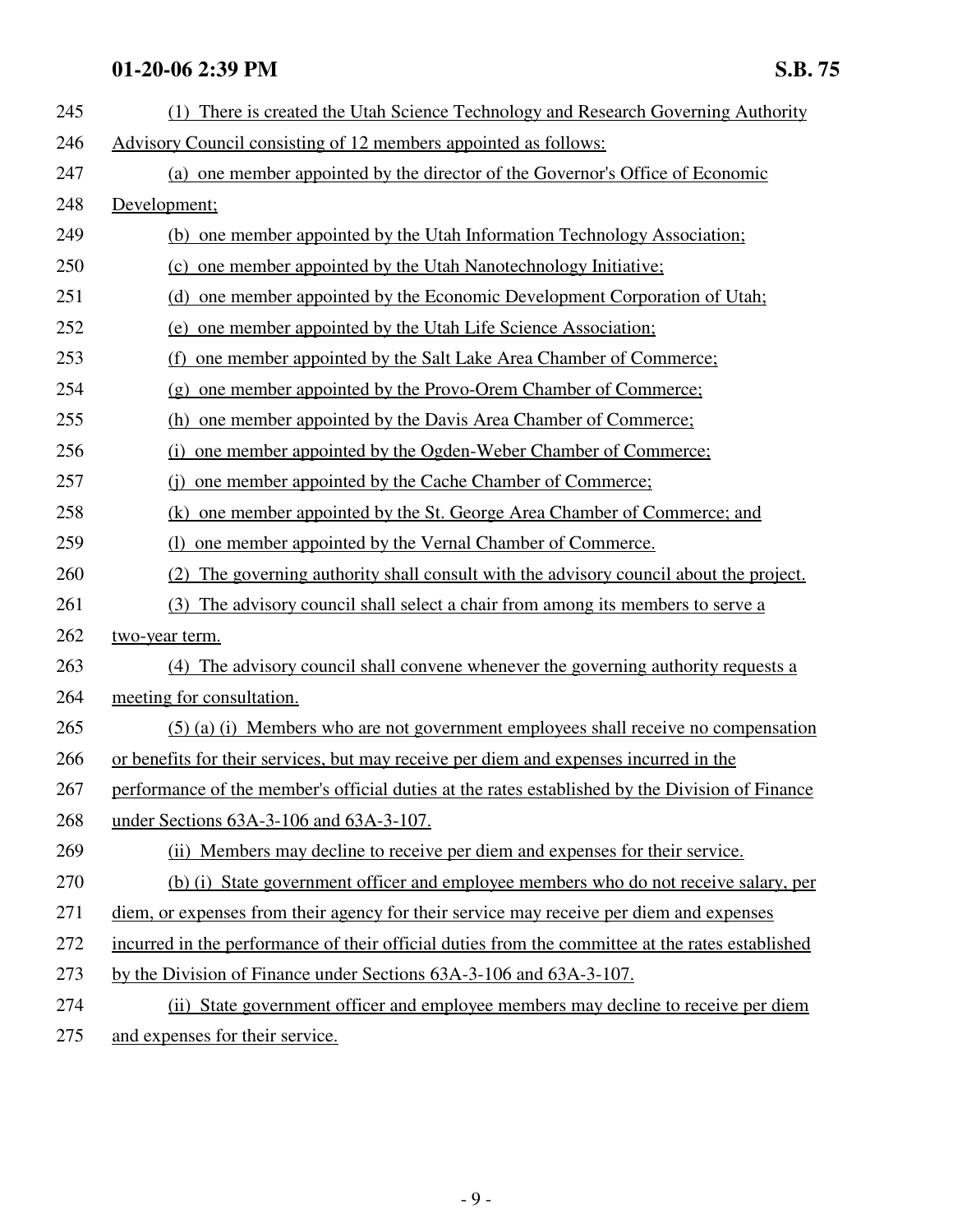| 245 | (1) There is created the Utah Science Technology and Research Governing Authority                |  |  |  |  |
|-----|--------------------------------------------------------------------------------------------------|--|--|--|--|
| 246 | Advisory Council consisting of 12 members appointed as follows:                                  |  |  |  |  |
| 247 | (a) one member appointed by the director of the Governor's Office of Economic                    |  |  |  |  |
| 248 | Development;                                                                                     |  |  |  |  |
| 249 | (b) one member appointed by the Utah Information Technology Association;                         |  |  |  |  |
| 250 | (c) one member appointed by the Utah Nanotechnology Initiative;                                  |  |  |  |  |
| 251 | (d) one member appointed by the Economic Development Corporation of Utah;                        |  |  |  |  |
| 252 | (e) one member appointed by the Utah Life Science Association;                                   |  |  |  |  |
| 253 | one member appointed by the Salt Lake Area Chamber of Commerce;<br>(f)                           |  |  |  |  |
| 254 | (g) one member appointed by the Provo-Orem Chamber of Commerce;                                  |  |  |  |  |
| 255 | (h) one member appointed by the Davis Area Chamber of Commerce;                                  |  |  |  |  |
| 256 | (i) one member appointed by the Ogden-Weber Chamber of Commerce;                                 |  |  |  |  |
| 257 | one member appointed by the Cache Chamber of Commerce;<br>(i)                                    |  |  |  |  |
| 258 | (k) one member appointed by the St. George Area Chamber of Commerce; and                         |  |  |  |  |
| 259 | (1) one member appointed by the Vernal Chamber of Commerce.                                      |  |  |  |  |
| 260 | The governing authority shall consult with the advisory council about the project.               |  |  |  |  |
| 261 | (3) The advisory council shall select a chair from among its members to serve a                  |  |  |  |  |
| 262 | two-year term.                                                                                   |  |  |  |  |
| 263 | (4) The advisory council shall convene whenever the governing authority requests a               |  |  |  |  |
| 264 | meeting for consultation.                                                                        |  |  |  |  |
| 265 | $(5)$ (a) (i) Members who are not government employees shall receive no compensation             |  |  |  |  |
| 266 | or benefits for their services, but may receive per diem and expenses incurred in the            |  |  |  |  |
| 267 | performance of the member's official duties at the rates established by the Division of Finance  |  |  |  |  |
| 268 | under Sections 63A-3-106 and 63A-3-107.                                                          |  |  |  |  |
| 269 | (ii) Members may decline to receive per diem and expenses for their service.                     |  |  |  |  |
| 270 | (b) (i) State government officer and employee members who do not receive salary, per             |  |  |  |  |
| 271 | diem, or expenses from their agency for their service may receive per diem and expenses          |  |  |  |  |
| 272 | incurred in the performance of their official duties from the committee at the rates established |  |  |  |  |
| 273 | by the Division of Finance under Sections 63A-3-106 and 63A-3-107.                               |  |  |  |  |
| 274 | (ii) State government officer and employee members may decline to receive per diem               |  |  |  |  |
| 275 | and expenses for their service.                                                                  |  |  |  |  |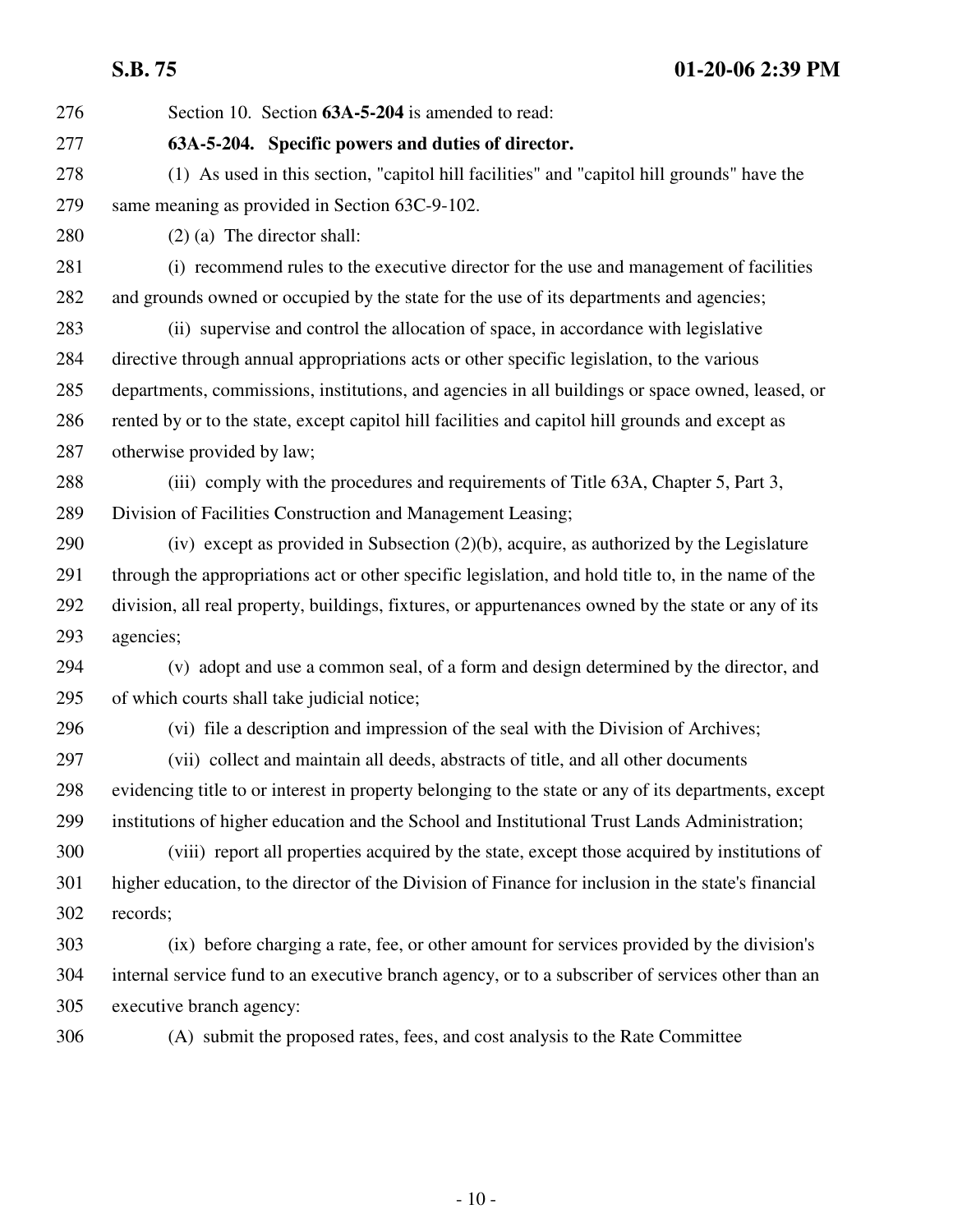276 Section 10. Section **63A-5-204** is amended to read:

### 277 **63A-5-204. Specific powers and duties of director.**

278 (1) As used in this section, "capitol hill facilities" and "capitol hill grounds" have the 279 same meaning as provided in Section 63C-9-102.

280 (2) (a) The director shall:

- 281 (i) recommend rules to the executive director for the use and management of facilities 282 and grounds owned or occupied by the state for the use of its departments and agencies;
- 283 (ii) supervise and control the allocation of space, in accordance with legislative 284 directive through annual appropriations acts or other specific legislation, to the various 285 departments, commissions, institutions, and agencies in all buildings or space owned, leased, or 286 rented by or to the state, except capitol hill facilities and capitol hill grounds and except as 287 otherwise provided by law;
- 288 (iii) comply with the procedures and requirements of Title 63A, Chapter 5, Part 3, 289 Division of Facilities Construction and Management Leasing;
- 290 (iv) except as provided in Subsection (2)(b), acquire, as authorized by the Legislature 291 through the appropriations act or other specific legislation, and hold title to, in the name of the 292 division, all real property, buildings, fixtures, or appurtenances owned by the state or any of its 293 agencies;
- 294 (v) adopt and use a common seal, of a form and design determined by the director, and 295 of which courts shall take judicial notice;
- 

296 (vi) file a description and impression of the seal with the Division of Archives;

297 (vii) collect and maintain all deeds, abstracts of title, and all other documents 298 evidencing title to or interest in property belonging to the state or any of its departments, except 299 institutions of higher education and the School and Institutional Trust Lands Administration;

300 (viii) report all properties acquired by the state, except those acquired by institutions of 301 higher education, to the director of the Division of Finance for inclusion in the state's financial 302 records;

303 (ix) before charging a rate, fee, or other amount for services provided by the division's 304 internal service fund to an executive branch agency, or to a subscriber of services other than an 305 executive branch agency:

306 (A) submit the proposed rates, fees, and cost analysis to the Rate Committee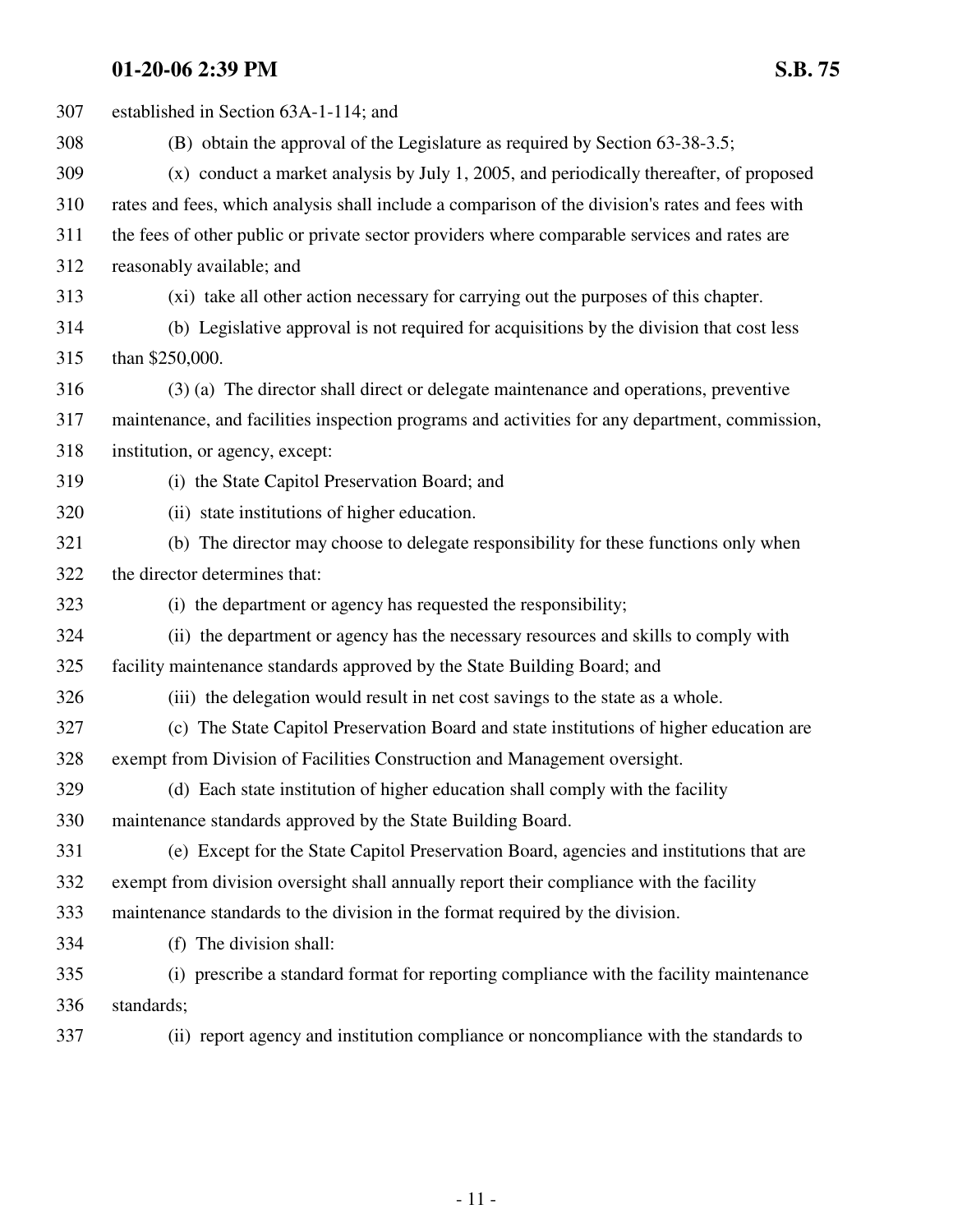| 307 | established in Section 63A-1-114; and                                                           |  |  |  |
|-----|-------------------------------------------------------------------------------------------------|--|--|--|
| 308 | (B) obtain the approval of the Legislature as required by Section 63-38-3.5;                    |  |  |  |
| 309 | (x) conduct a market analysis by July 1, 2005, and periodically thereafter, of proposed         |  |  |  |
| 310 | rates and fees, which analysis shall include a comparison of the division's rates and fees with |  |  |  |
| 311 | the fees of other public or private sector providers where comparable services and rates are    |  |  |  |
| 312 | reasonably available; and                                                                       |  |  |  |
| 313 | (xi) take all other action necessary for carrying out the purposes of this chapter.             |  |  |  |
| 314 | (b) Legislative approval is not required for acquisitions by the division that cost less        |  |  |  |
| 315 | than \$250,000.                                                                                 |  |  |  |
| 316 | (3) (a) The director shall direct or delegate maintenance and operations, preventive            |  |  |  |
| 317 | maintenance, and facilities inspection programs and activities for any department, commission,  |  |  |  |
| 318 | institution, or agency, except:                                                                 |  |  |  |
| 319 | (i) the State Capitol Preservation Board; and                                                   |  |  |  |
| 320 | (ii) state institutions of higher education.                                                    |  |  |  |
| 321 | (b) The director may choose to delegate responsibility for these functions only when            |  |  |  |
| 322 | the director determines that:                                                                   |  |  |  |
| 323 | (i) the department or agency has requested the responsibility;                                  |  |  |  |
| 324 | (ii) the department or agency has the necessary resources and skills to comply with             |  |  |  |
| 325 | facility maintenance standards approved by the State Building Board; and                        |  |  |  |
| 326 | (iii) the delegation would result in net cost savings to the state as a whole.                  |  |  |  |
| 327 | (c) The State Capitol Preservation Board and state institutions of higher education are         |  |  |  |
| 328 | exempt from Division of Facilities Construction and Management oversight.                       |  |  |  |
| 329 | (d) Each state institution of higher education shall comply with the facility                   |  |  |  |
| 330 | maintenance standards approved by the State Building Board.                                     |  |  |  |
| 331 | (e) Except for the State Capitol Preservation Board, agencies and institutions that are         |  |  |  |
| 332 | exempt from division oversight shall annually report their compliance with the facility         |  |  |  |
| 333 | maintenance standards to the division in the format required by the division.                   |  |  |  |
| 334 | (f) The division shall:                                                                         |  |  |  |
| 335 | (i) prescribe a standard format for reporting compliance with the facility maintenance          |  |  |  |
| 336 | standards;                                                                                      |  |  |  |
|     |                                                                                                 |  |  |  |

337 (ii) report agency and institution compliance or noncompliance with the standards to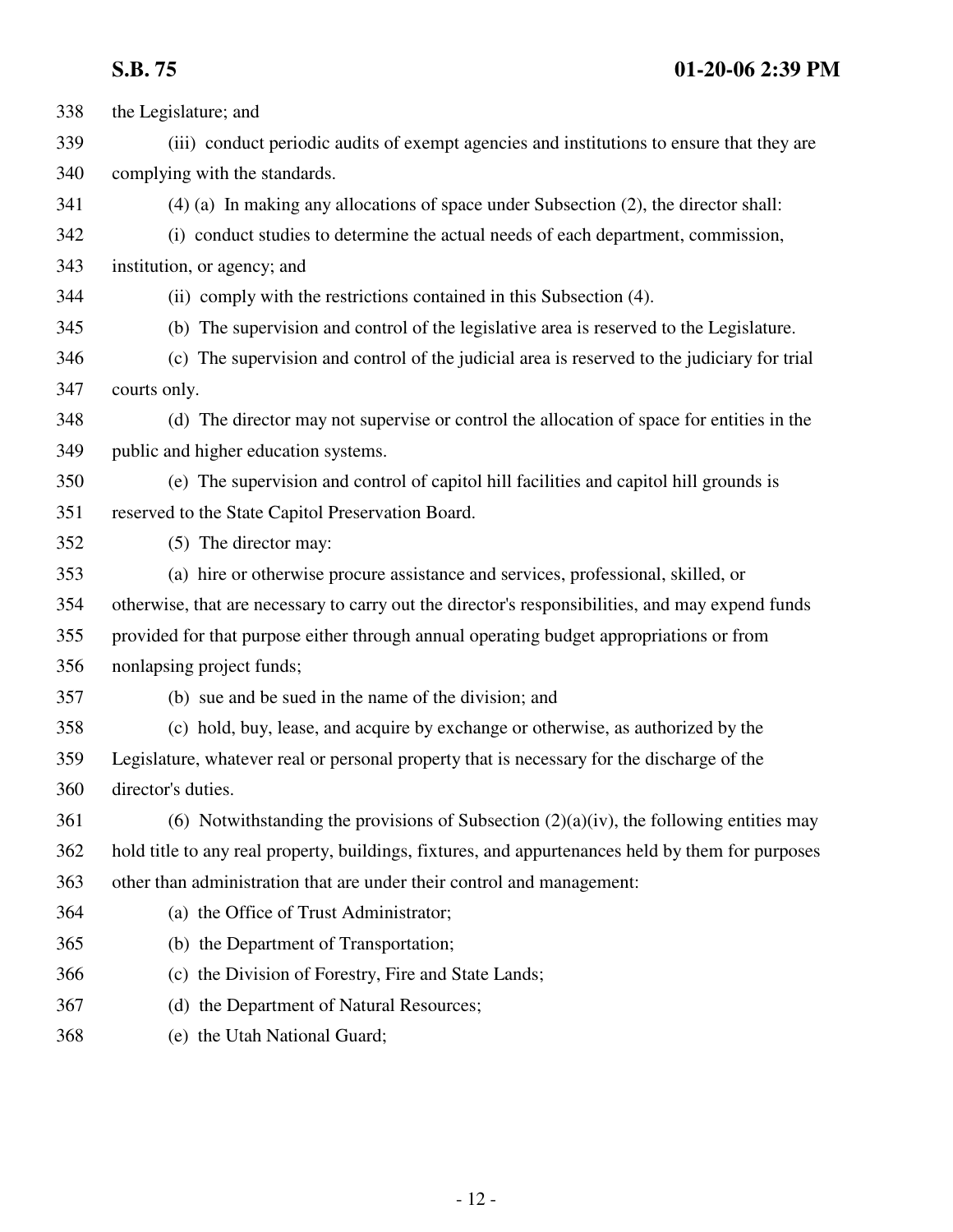- 338 the Legislature; and 339 (iii) conduct periodic audits of exempt agencies and institutions to ensure that they are 340 complying with the standards. 341 (4) (a) In making any allocations of space under Subsection (2), the director shall: 342 (i) conduct studies to determine the actual needs of each department, commission, 343 institution, or agency; and 344 (ii) comply with the restrictions contained in this Subsection (4). 345 (b) The supervision and control of the legislative area is reserved to the Legislature. 346 (c) The supervision and control of the judicial area is reserved to the judiciary for trial 347 courts only. 348 (d) The director may not supervise or control the allocation of space for entities in the 349 public and higher education systems. 350 (e) The supervision and control of capitol hill facilities and capitol hill grounds is 351 reserved to the State Capitol Preservation Board. 352 (5) The director may: 353 (a) hire or otherwise procure assistance and services, professional, skilled, or 354 otherwise, that are necessary to carry out the director's responsibilities, and may expend funds 355 provided for that purpose either through annual operating budget appropriations or from 356 nonlapsing project funds; 357 (b) sue and be sued in the name of the division; and 358 (c) hold, buy, lease, and acquire by exchange or otherwise, as authorized by the 359 Legislature, whatever real or personal property that is necessary for the discharge of the 360 director's duties. 361 (6) Notwithstanding the provisions of Subsection  $(2)(a)(iv)$ , the following entities may 362 hold title to any real property, buildings, fixtures, and appurtenances held by them for purposes 363 other than administration that are under their control and management: 364 (a) the Office of Trust Administrator; 365 (b) the Department of Transportation; 366 (c) the Division of Forestry, Fire and State Lands; 367 (d) the Department of Natural Resources;
	- 368 (e) the Utah National Guard;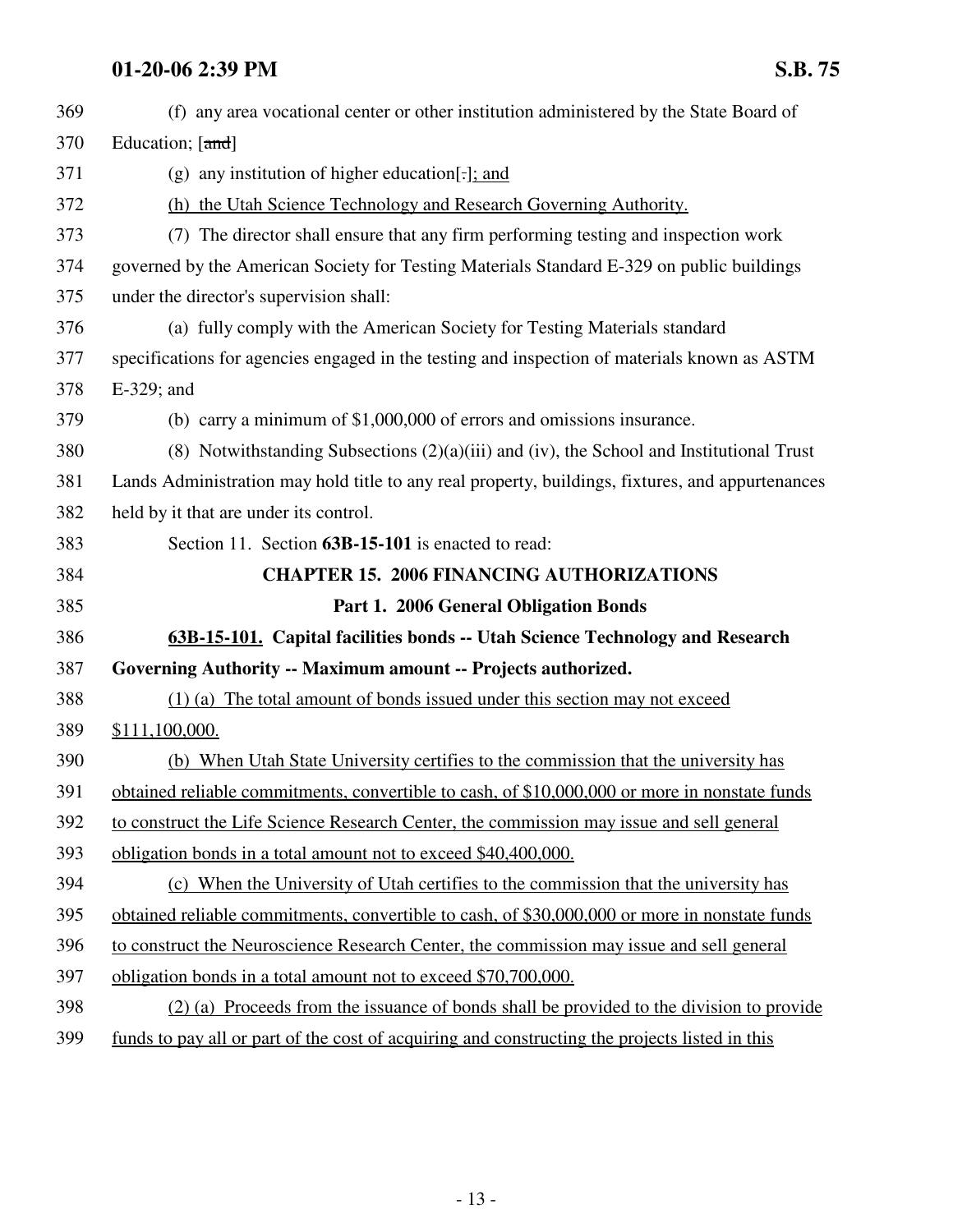| 369 | (f) any area vocational center or other institution administered by the State Board of           |  |  |  |
|-----|--------------------------------------------------------------------------------------------------|--|--|--|
| 370 | Education; [and]                                                                                 |  |  |  |
| 371 | (g) any institution of higher education]; and                                                    |  |  |  |
| 372 | (h) the Utah Science Technology and Research Governing Authority.                                |  |  |  |
| 373 | (7) The director shall ensure that any firm performing testing and inspection work               |  |  |  |
| 374 | governed by the American Society for Testing Materials Standard E-329 on public buildings        |  |  |  |
| 375 | under the director's supervision shall:                                                          |  |  |  |
| 376 | (a) fully comply with the American Society for Testing Materials standard                        |  |  |  |
| 377 | specifications for agencies engaged in the testing and inspection of materials known as ASTM     |  |  |  |
| 378 | E-329; and                                                                                       |  |  |  |
| 379 | (b) carry a minimum of $$1,000,000$ of errors and omissions insurance.                           |  |  |  |
| 380 | (8) Notwithstanding Subsections $(2)(a)(iii)$ and (iv), the School and Institutional Trust       |  |  |  |
| 381 | Lands Administration may hold title to any real property, buildings, fixtures, and appurtenances |  |  |  |
| 382 | held by it that are under its control.                                                           |  |  |  |
| 383 | Section 11. Section 63B-15-101 is enacted to read:                                               |  |  |  |
| 384 | <b>CHAPTER 15. 2006 FINANCING AUTHORIZATIONS</b>                                                 |  |  |  |
| 385 | Part 1. 2006 General Obligation Bonds                                                            |  |  |  |
| 386 | 63B-15-101. Capital facilities bonds -- Utah Science Technology and Research                     |  |  |  |
| 387 |                                                                                                  |  |  |  |
|     | Governing Authority -- Maximum amount -- Projects authorized.                                    |  |  |  |
| 388 | (1) (a) The total amount of bonds issued under this section may not exceed                       |  |  |  |
| 389 | \$111,100,000.                                                                                   |  |  |  |
| 390 | (b) When Utah State University certifies to the commission that the university has               |  |  |  |
| 391 | obtained reliable commitments, convertible to cash, of \$10,000,000 or more in nonstate funds    |  |  |  |
| 392 | to construct the Life Science Research Center, the commission may issue and sell general         |  |  |  |
| 393 | obligation bonds in a total amount not to exceed \$40,400,000.                                   |  |  |  |
| 394 | (c) When the University of Utah certifies to the commission that the university has              |  |  |  |
| 395 | obtained reliable commitments, convertible to cash, of \$30,000,000 or more in nonstate funds    |  |  |  |
| 396 | to construct the Neuroscience Research Center, the commission may issue and sell general         |  |  |  |
| 397 | obligation bonds in a total amount not to exceed \$70,700,000.                                   |  |  |  |
| 398 | (2) (a) Proceeds from the issuance of bonds shall be provided to the division to provide         |  |  |  |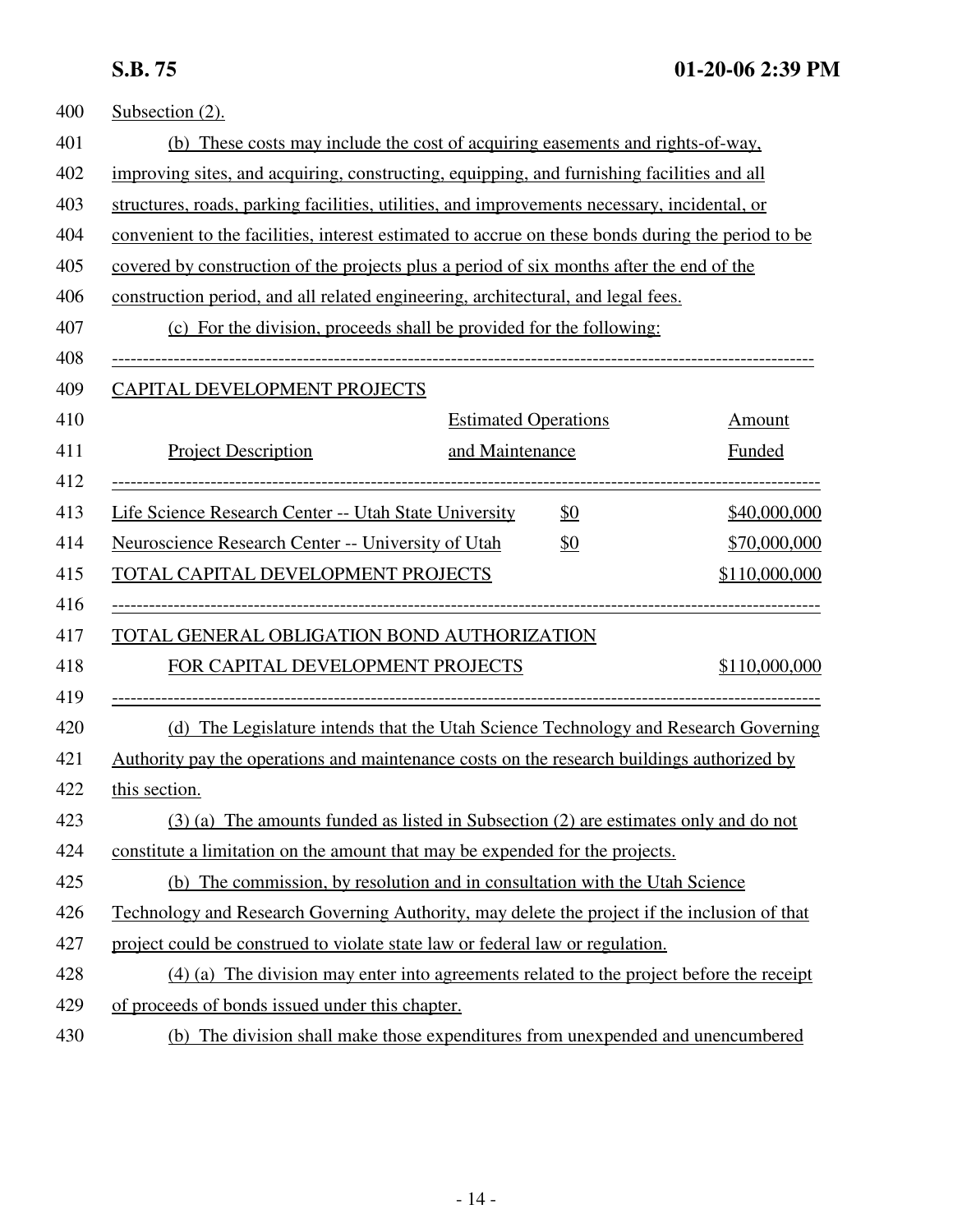| 400 | Subsection (2).                                                                                   |                                                                                        |               |  |  |
|-----|---------------------------------------------------------------------------------------------------|----------------------------------------------------------------------------------------|---------------|--|--|
| 401 | (b) These costs may include the cost of acquiring easements and rights-of-way,                    |                                                                                        |               |  |  |
| 402 | improving sites, and acquiring, constructing, equipping, and furnishing facilities and all        |                                                                                        |               |  |  |
| 403 | structures, roads, parking facilities, utilities, and improvements necessary, incidental, or      |                                                                                        |               |  |  |
| 404 | convenient to the facilities, interest estimated to accrue on these bonds during the period to be |                                                                                        |               |  |  |
| 405 | covered by construction of the projects plus a period of six months after the end of the          |                                                                                        |               |  |  |
| 406 | construction period, and all related engineering, architectural, and legal fees.                  |                                                                                        |               |  |  |
| 407 |                                                                                                   | (c) For the division, proceeds shall be provided for the following:                    |               |  |  |
| 408 |                                                                                                   |                                                                                        |               |  |  |
| 409 | CAPITAL DEVELOPMENT PROJECTS                                                                      |                                                                                        |               |  |  |
| 410 |                                                                                                   | <b>Estimated Operations</b>                                                            | <b>Amount</b> |  |  |
| 411 | <b>Project Description</b>                                                                        | and Maintenance                                                                        | <b>Funded</b> |  |  |
| 412 |                                                                                                   |                                                                                        |               |  |  |
| 413 | Life Science Research Center -- Utah State University                                             | \$0                                                                                    | \$40,000,000  |  |  |
| 414 | Neuroscience Research Center -- University of Utah                                                | <u>\$0</u>                                                                             | \$70,000,000  |  |  |
| 415 | TOTAL CAPITAL DEVELOPMENT PROJECTS                                                                |                                                                                        | \$110,000,000 |  |  |
| 416 |                                                                                                   |                                                                                        |               |  |  |
| 417 | TOTAL GENERAL OBLIGATION BOND AUTHORIZATION                                                       |                                                                                        |               |  |  |
| 418 | FOR CAPITAL DEVELOPMENT PROJECTS                                                                  |                                                                                        | \$110,000,000 |  |  |
| 419 |                                                                                                   |                                                                                        |               |  |  |
| 420 |                                                                                                   | (d) The Legislature intends that the Utah Science Technology and Research Governing    |               |  |  |
| 421 | Authority pay the operations and maintenance costs on the research buildings authorized by        |                                                                                        |               |  |  |
| 422 | this section.                                                                                     |                                                                                        |               |  |  |
| 423 |                                                                                                   | $(3)$ (a) The amounts funded as listed in Subsection (2) are estimates only and do not |               |  |  |
| 424 | constitute a limitation on the amount that may be expended for the projects.                      |                                                                                        |               |  |  |
| 425 | (b) The commission, by resolution and in consultation with the Utah Science                       |                                                                                        |               |  |  |
| 426 | Technology and Research Governing Authority, may delete the project if the inclusion of that      |                                                                                        |               |  |  |
| 427 | project could be construed to violate state law or federal law or regulation.                     |                                                                                        |               |  |  |
| 428 | (4) (a) The division may enter into agreements related to the project before the receipt          |                                                                                        |               |  |  |
| 429 | of proceeds of bonds issued under this chapter.                                                   |                                                                                        |               |  |  |
| 430 |                                                                                                   | (b) The division shall make those expenditures from unexpended and unencumbered        |               |  |  |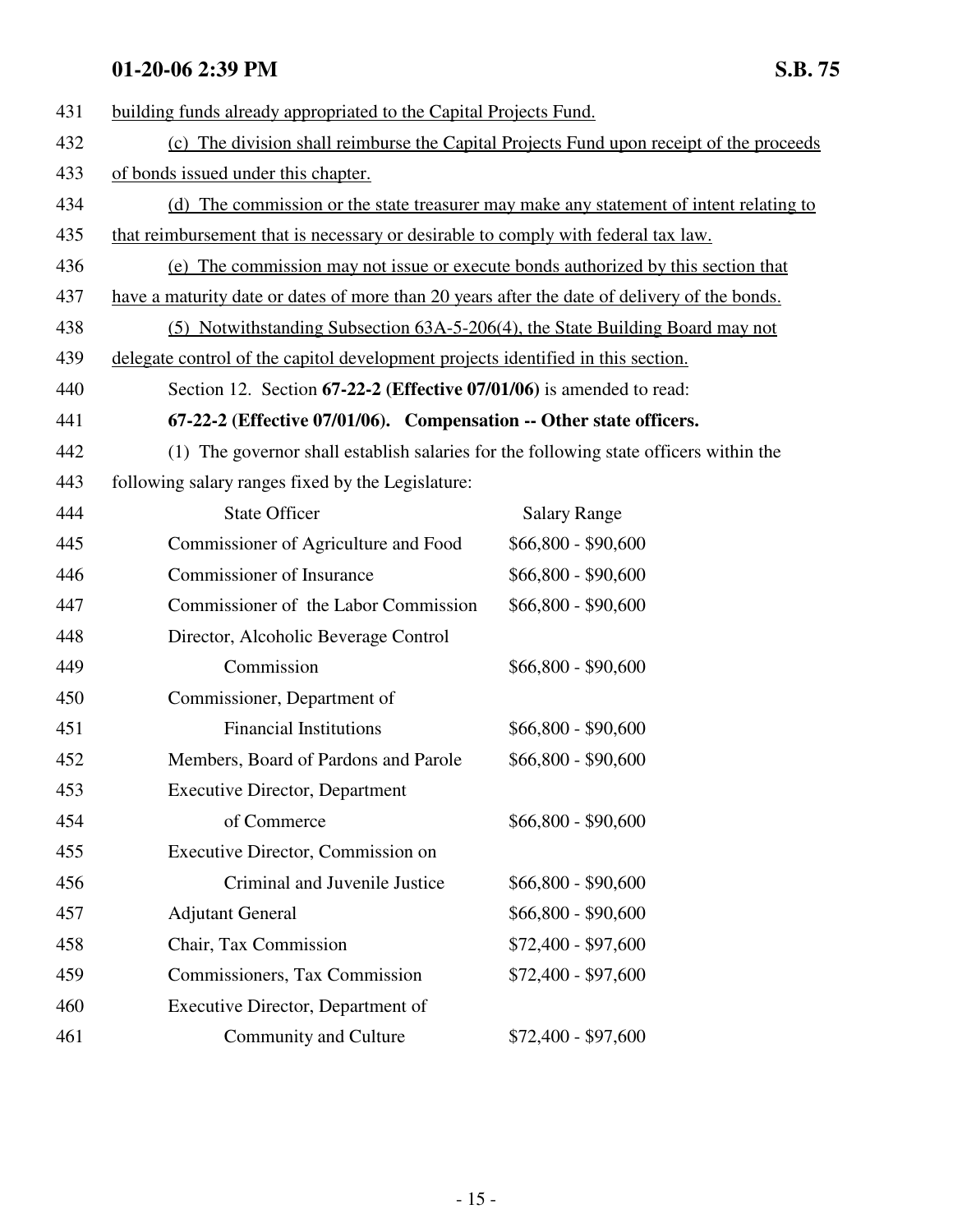| 431 | building funds already appropriated to the Capital Projects Fund.                            |                     |  |  |
|-----|----------------------------------------------------------------------------------------------|---------------------|--|--|
| 432 | (c) The division shall reimburse the Capital Projects Fund upon receipt of the proceeds      |                     |  |  |
| 433 | of bonds issued under this chapter.                                                          |                     |  |  |
| 434 | (d) The commission or the state treasurer may make any statement of intent relating to       |                     |  |  |
| 435 | that reimbursement that is necessary or desirable to comply with federal tax law.            |                     |  |  |
| 436 | (e) The commission may not issue or execute bonds authorized by this section that            |                     |  |  |
| 437 | have a maturity date or dates of more than 20 years after the date of delivery of the bonds. |                     |  |  |
| 438 | (5) Notwithstanding Subsection 63A-5-206(4), the State Building Board may not                |                     |  |  |
| 439 | delegate control of the capitol development projects identified in this section.             |                     |  |  |
| 440 | Section 12. Section 67-22-2 (Effective 07/01/06) is amended to read:                         |                     |  |  |
| 441 | 67-22-2 (Effective 07/01/06). Compensation -- Other state officers.                          |                     |  |  |
| 442 | (1) The governor shall establish salaries for the following state officers within the        |                     |  |  |
| 443 | following salary ranges fixed by the Legislature:                                            |                     |  |  |
| 444 | <b>State Officer</b>                                                                         | <b>Salary Range</b> |  |  |
| 445 | Commissioner of Agriculture and Food                                                         | $$66,800 - $90,600$ |  |  |
| 446 | Commissioner of Insurance                                                                    | $$66,800 - $90,600$ |  |  |
| 447 | Commissioner of the Labor Commission                                                         | $$66,800 - $90,600$ |  |  |
| 448 | Director, Alcoholic Beverage Control                                                         |                     |  |  |
| 449 | Commission                                                                                   | $$66,800 - $90,600$ |  |  |
| 450 | Commissioner, Department of                                                                  |                     |  |  |
| 451 | <b>Financial Institutions</b>                                                                | $$66,800 - $90,600$ |  |  |
| 452 | Members, Board of Pardons and Parole                                                         | $$66,800 - $90,600$ |  |  |
| 453 | <b>Executive Director, Department</b>                                                        |                     |  |  |
| 454 | of Commerce                                                                                  | $$66,800 - $90,600$ |  |  |
| 455 | Executive Director, Commission on                                                            |                     |  |  |
| 456 | Criminal and Juvenile Justice                                                                | $$66,800 - $90,600$ |  |  |
| 457 | <b>Adjutant General</b>                                                                      | $$66,800 - $90,600$ |  |  |
| 458 | Chair, Tax Commission                                                                        | $$72,400 - $97,600$ |  |  |
| 459 | Commissioners, Tax Commission                                                                | $$72,400 - $97,600$ |  |  |
| 460 | Executive Director, Department of                                                            |                     |  |  |
| 461 | Community and Culture                                                                        | $$72,400 - $97,600$ |  |  |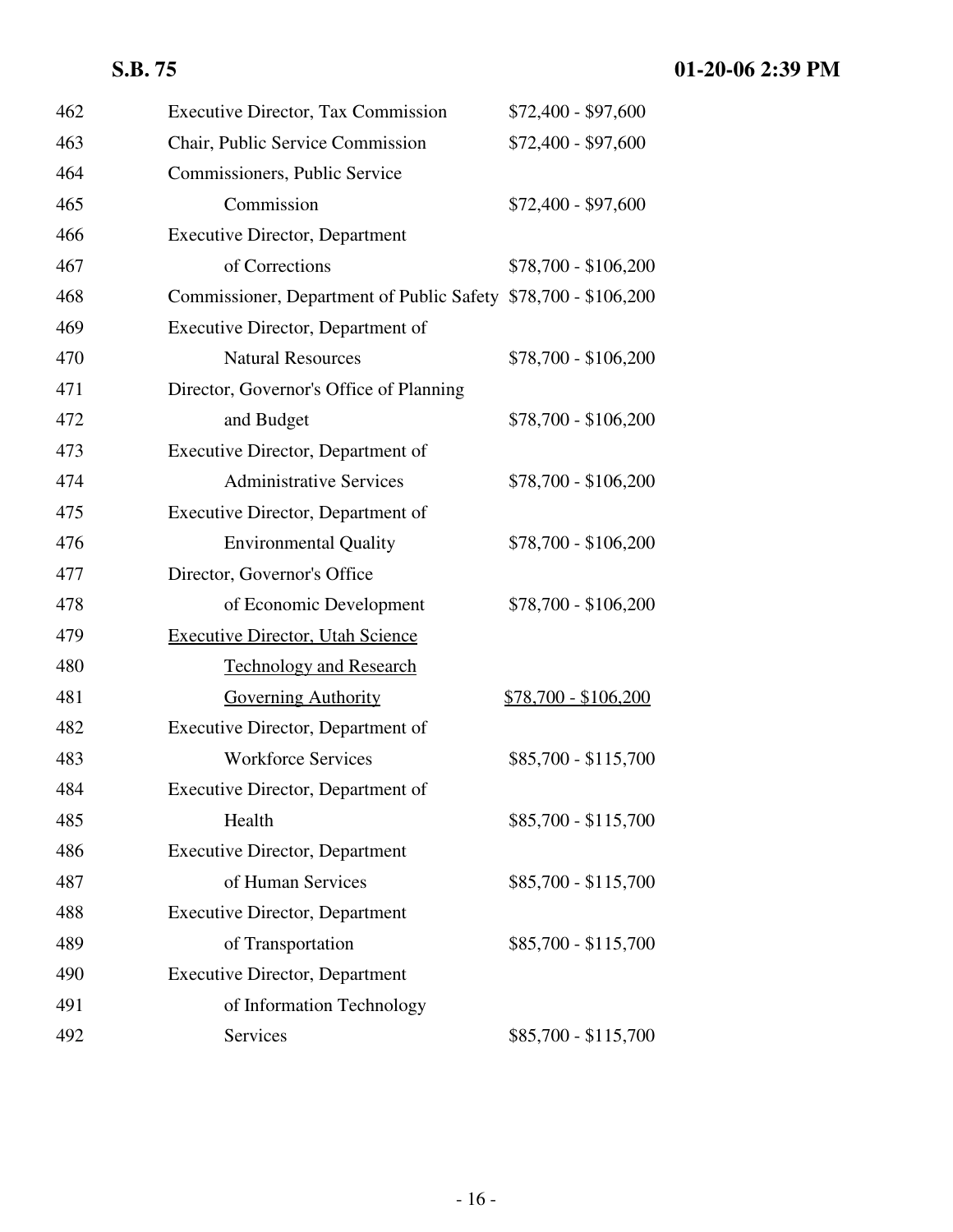| 462 | <b>Executive Director, Tax Commission</b>                      | \$72,400 - \$97,600  |
|-----|----------------------------------------------------------------|----------------------|
| 463 | Chair, Public Service Commission                               | $$72,400 - $97,600$  |
| 464 | Commissioners, Public Service                                  |                      |
| 465 | Commission                                                     | $$72,400 - $97,600$  |
| 466 | <b>Executive Director, Department</b>                          |                      |
| 467 | of Corrections                                                 | $$78,700 - $106,200$ |
| 468 | Commissioner, Department of Public Safety \$78,700 - \$106,200 |                      |
| 469 | Executive Director, Department of                              |                      |
| 470 | <b>Natural Resources</b>                                       | \$78,700 - \$106,200 |
| 471 | Director, Governor's Office of Planning                        |                      |
| 472 | and Budget                                                     | $$78,700 - $106,200$ |
| 473 | Executive Director, Department of                              |                      |
| 474 | <b>Administrative Services</b>                                 | \$78,700 - \$106,200 |
| 475 | Executive Director, Department of                              |                      |
| 476 | <b>Environmental Quality</b>                                   | \$78,700 - \$106,200 |
| 477 | Director, Governor's Office                                    |                      |
| 478 | of Economic Development                                        | \$78,700 - \$106,200 |
| 479 | <b>Executive Director, Utah Science</b>                        |                      |
| 480 | <b>Technology and Research</b>                                 |                      |
| 481 | <b>Governing Authority</b>                                     | \$78,700 - \$106,200 |
| 482 | Executive Director, Department of                              |                      |
| 483 | <b>Workforce Services</b>                                      | \$85,700 - \$115,700 |
| 484 | Executive Director, Department of                              |                      |
| 485 | Health                                                         | \$85,700 - \$115,700 |
| 486 | <b>Executive Director, Department</b>                          |                      |
| 487 | of Human Services                                              | \$85,700 - \$115,700 |
| 488 | <b>Executive Director, Department</b>                          |                      |
| 489 | of Transportation                                              | \$85,700 - \$115,700 |
| 490 | <b>Executive Director, Department</b>                          |                      |
| 491 | of Information Technology                                      |                      |
| 492 | Services                                                       | \$85,700 - \$115,700 |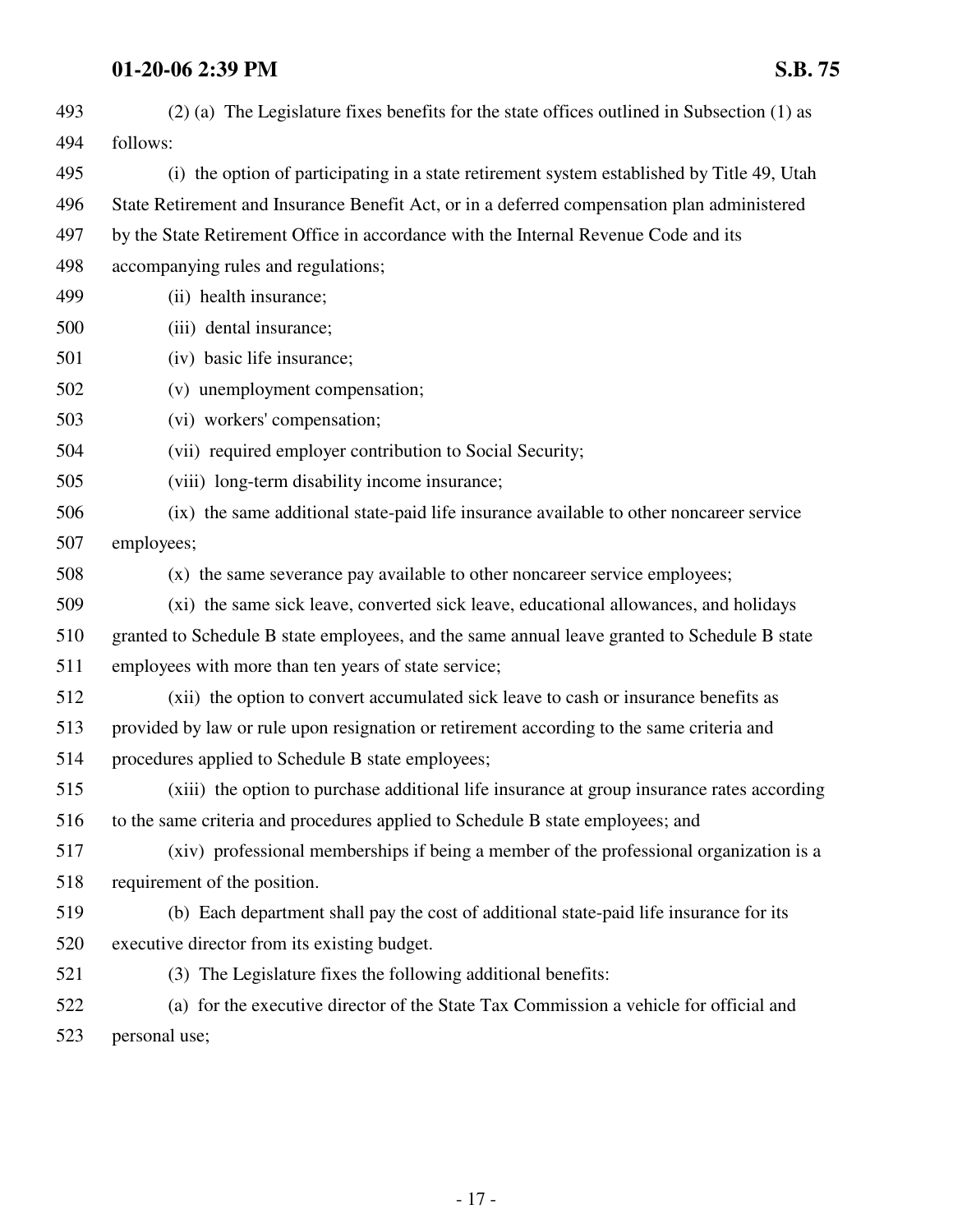| 493 | (2) (a) The Legislature fixes benefits for the state offices outlined in Subsection (1) as   |
|-----|----------------------------------------------------------------------------------------------|
| 494 | follows:                                                                                     |
| 495 | (i) the option of participating in a state retirement system established by Title 49, Utah   |
| 496 | State Retirement and Insurance Benefit Act, or in a deferred compensation plan administered  |
| 497 | by the State Retirement Office in accordance with the Internal Revenue Code and its          |
| 498 | accompanying rules and regulations;                                                          |
| 499 | (ii) health insurance;                                                                       |
| 500 | (iii) dental insurance;                                                                      |
| 501 | (iv) basic life insurance;                                                                   |
| 502 | (v) unemployment compensation;                                                               |
| 503 | (vi) workers' compensation;                                                                  |
| 504 | (vii) required employer contribution to Social Security;                                     |
| 505 | (viii) long-term disability income insurance;                                                |
| 506 | (ix) the same additional state-paid life insurance available to other noncareer service      |
| 507 | employees;                                                                                   |
| 508 | (x) the same severance pay available to other noncareer service employees;                   |
| 509 | (xi) the same sick leave, converted sick leave, educational allowances, and holidays         |
| 510 | granted to Schedule B state employees, and the same annual leave granted to Schedule B state |
| 511 | employees with more than ten years of state service;                                         |
| 512 | (xii) the option to convert accumulated sick leave to cash or insurance benefits as          |
| 513 | provided by law or rule upon resignation or retirement according to the same criteria and    |
| 514 | procedures applied to Schedule B state employees;                                            |
| 515 | (xiii) the option to purchase additional life insurance at group insurance rates according   |
| 516 | to the same criteria and procedures applied to Schedule B state employees; and               |
| 517 | (xiv) professional memberships if being a member of the professional organization is a       |
| 518 | requirement of the position.                                                                 |
| 519 | (b) Each department shall pay the cost of additional state-paid life insurance for its       |
| 520 | executive director from its existing budget.                                                 |
| 521 | (3) The Legislature fixes the following additional benefits:                                 |
| 522 | (a) for the executive director of the State Tax Commission a vehicle for official and        |
|     |                                                                                              |

523 personal use;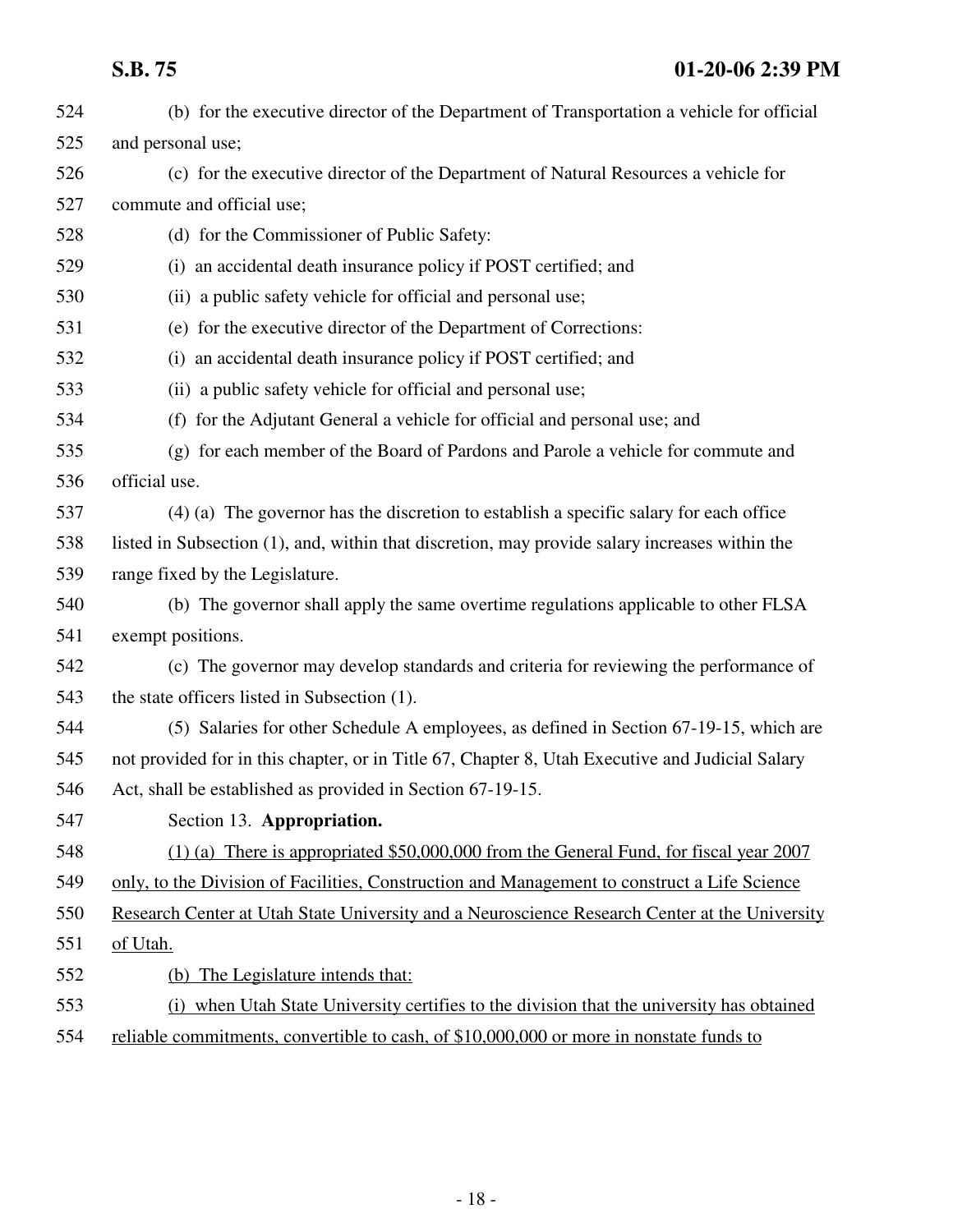## **S.B. 75 01-20-06 2:39 PM**

| 524 | (b) for the executive director of the Department of Transportation a vehicle for official       |
|-----|-------------------------------------------------------------------------------------------------|
| 525 | and personal use;                                                                               |
| 526 | (c) for the executive director of the Department of Natural Resources a vehicle for             |
| 527 | commute and official use;                                                                       |
| 528 | (d) for the Commissioner of Public Safety:                                                      |
| 529 | (i) an accidental death insurance policy if POST certified; and                                 |
| 530 | (ii) a public safety vehicle for official and personal use;                                     |
| 531 | (e) for the executive director of the Department of Corrections:                                |
| 532 | (i) an accidental death insurance policy if POST certified; and                                 |
| 533 | (ii) a public safety vehicle for official and personal use;                                     |
| 534 | (f) for the Adjutant General a vehicle for official and personal use; and                       |
| 535 | (g) for each member of the Board of Pardons and Parole a vehicle for commute and                |
| 536 | official use.                                                                                   |
| 537 | (4) (a) The governor has the discretion to establish a specific salary for each office          |
| 538 | listed in Subsection (1), and, within that discretion, may provide salary increases within the  |
| 539 | range fixed by the Legislature.                                                                 |
| 540 | (b) The governor shall apply the same overtime regulations applicable to other FLSA             |
| 541 | exempt positions.                                                                               |
| 542 | (c) The governor may develop standards and criteria for reviewing the performance of            |
| 543 | the state officers listed in Subsection (1).                                                    |
| 544 | (5) Salaries for other Schedule A employees, as defined in Section 67-19-15, which are          |
| 545 | not provided for in this chapter, or in Title 67, Chapter 8, Utah Executive and Judicial Salary |
| 546 | Act, shall be established as provided in Section 67-19-15.                                      |
| 547 | Section 13. Appropriation.                                                                      |
| 548 | (1) (a) There is appropriated \$50,000,000 from the General Fund, for fiscal year 2007          |
| 549 | only, to the Division of Facilities, Construction and Management to construct a Life Science    |
| 550 | Research Center at Utah State University and a Neuroscience Research Center at the University   |
| 551 | of Utah.                                                                                        |
| 552 | (b) The Legislature intends that:                                                               |
| 553 | when Utah State University certifies to the division that the university has obtained<br>(i)    |
| 554 | reliable commitments, convertible to cash, of \$10,000,000 or more in nonstate funds to         |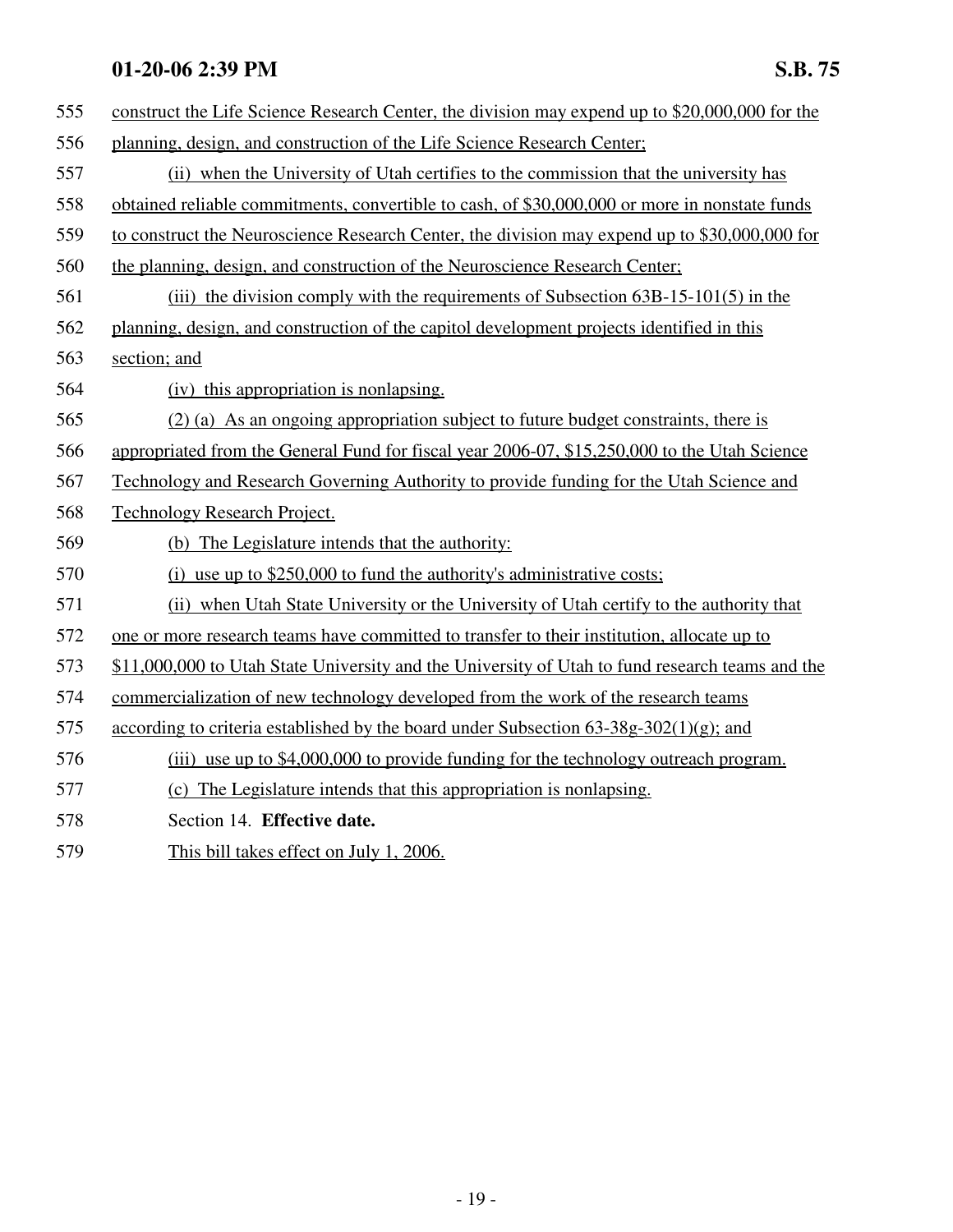| 555 | construct the Life Science Research Center, the division may expend up to \$20,000,000 for the  |
|-----|-------------------------------------------------------------------------------------------------|
| 556 | planning, design, and construction of the Life Science Research Center;                         |
| 557 | (ii) when the University of Utah certifies to the commission that the university has            |
| 558 | obtained reliable commitments, convertible to cash, of \$30,000,000 or more in nonstate funds   |
| 559 | to construct the Neuroscience Research Center, the division may expend up to \$30,000,000 for   |
| 560 | the planning, design, and construction of the Neuroscience Research Center;                     |
| 561 | (iii) the division comply with the requirements of Subsection $63B-15-101(5)$ in the            |
| 562 | planning, design, and construction of the capitol development projects identified in this       |
| 563 | section; and                                                                                    |
| 564 | (iv) this appropriation is nonlapsing.                                                          |
| 565 | (2) (a) As an ongoing appropriation subject to future budget constraints, there is              |
| 566 | appropriated from the General Fund for fiscal year 2006-07, \$15,250,000 to the Utah Science    |
| 567 | Technology and Research Governing Authority to provide funding for the Utah Science and         |
| 568 | <b>Technology Research Project.</b>                                                             |
| 569 | (b) The Legislature intends that the authority:                                                 |
| 570 | (i) use up to $$250,000$ to fund the authority's administrative costs;                          |
| 571 | (ii) when Utah State University or the University of Utah certify to the authority that         |
| 572 | one or more research teams have committed to transfer to their institution, allocate up to      |
| 573 | \$11,000,000 to Utah State University and the University of Utah to fund research teams and the |
| 574 | commercialization of new technology developed from the work of the research teams               |
| 575 | according to criteria established by the board under Subsection $63-38g-302(1)(g)$ ; and        |
| 576 | (iii) use up to \$4,000,000 to provide funding for the technology outreach program.             |
| 577 | (c) The Legislature intends that this appropriation is nonlapsing.                              |
| 578 | Section 14. Effective date.                                                                     |
|     |                                                                                                 |

579 This bill takes effect on July 1, 2006.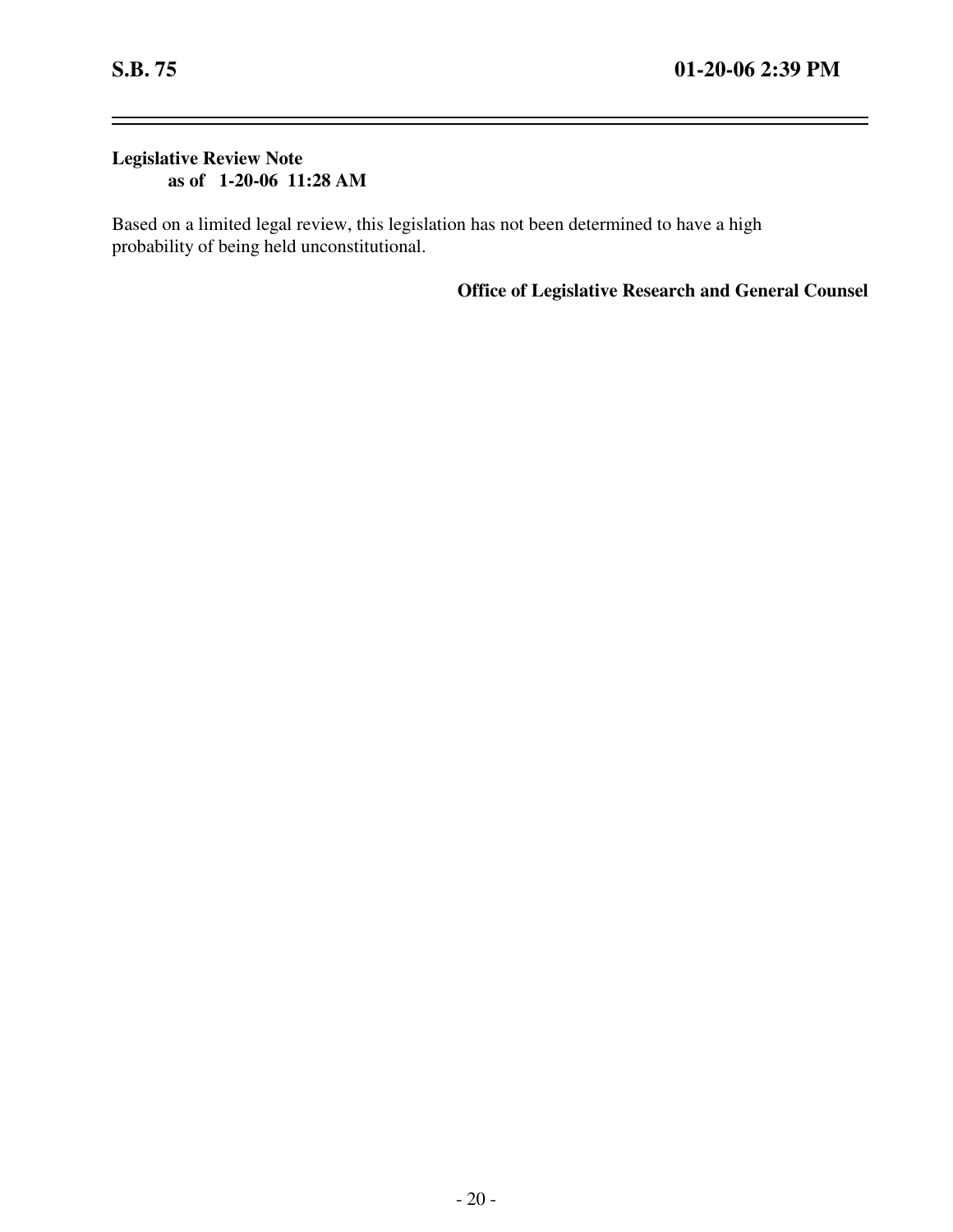-

 $\overline{\phantom{0}}$ 

### **Legislative Review Note as of 1-20-06 11:28 AM**

Based on a limited legal review, this legislation has not been determined to have a high probability of being held unconstitutional.

**Office of Legislative Research and General Counsel**